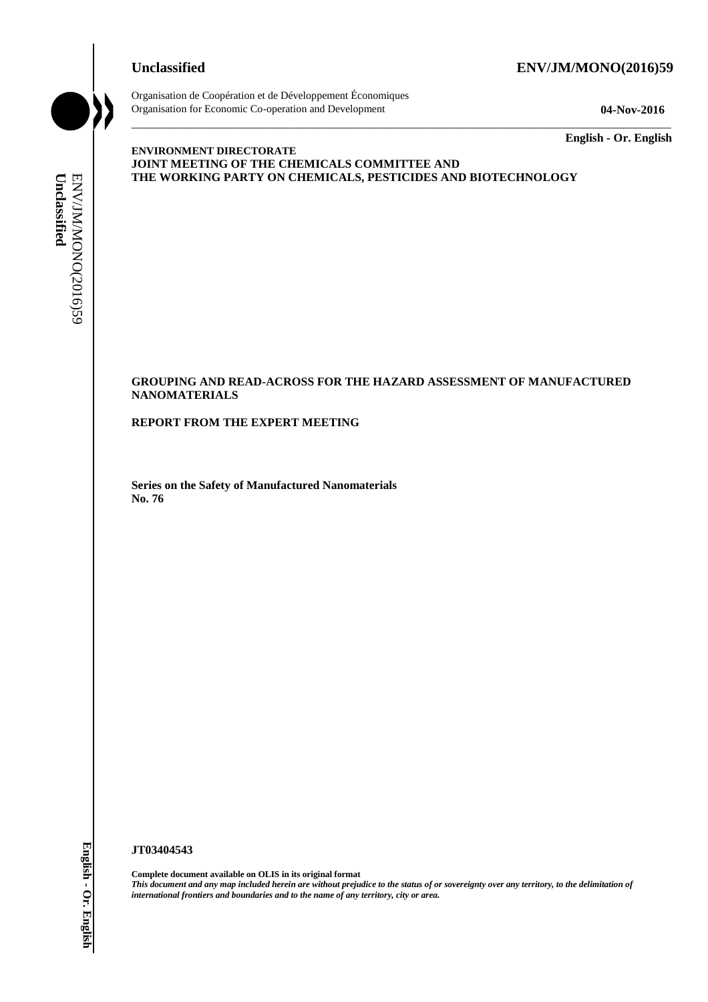# **Unclassified ENV/JM/MONO(2016)59**



Organisation de Coopération et de Développement Économiques Organisation for Economic Co-operation and Development **04-Nov-2016**

\_\_\_\_\_\_\_\_\_\_\_\_\_ **English - Or. English**

#### **ENVIRONMENT DIRECTORATE JOINT MEETING OF THE CHEMICALS COMMITTEE AND THE WORKING PARTY ON CHEMICALS, PESTICIDES AND BIOTECHNOLOGY**

\_\_\_\_\_\_\_\_\_\_\_\_\_\_\_\_\_\_\_\_\_\_\_\_\_\_\_\_\_\_\_\_\_\_\_\_\_\_\_\_\_\_\_\_\_\_\_\_\_\_\_\_\_\_\_\_\_\_\_\_\_\_\_\_\_\_\_\_\_\_\_\_\_\_\_\_\_\_\_\_\_\_\_\_\_\_\_\_\_\_\_

#### **GROUPING AND READ-ACROSS FOR THE HAZARD ASSESSMENT OF MANUFACTURED NANOMATERIALS**

**REPORT FROM THE EXPERT MEETING**

**Series on the Safety of Manufactured Nanomaterials No. 76**

**JT03404543**

**Complete document available on OLIS in its original format** *This document and any map included herein are without prejudice to the status of or sovereignty over any territory, to the delimitation of*  THE WORKING PARTY ON CHEMICALS, PESTICIDES<br>
THE WORKING PARTY ON CHEMICALS, PESTICIDES<br> **INTERNATION THE EXPERT MEETING**<br> **ENVIRONMENTALS**<br>
REPORT FROM THE EXPERT MEETING<br>
Series on the Safety of Manufactured Nanomaterials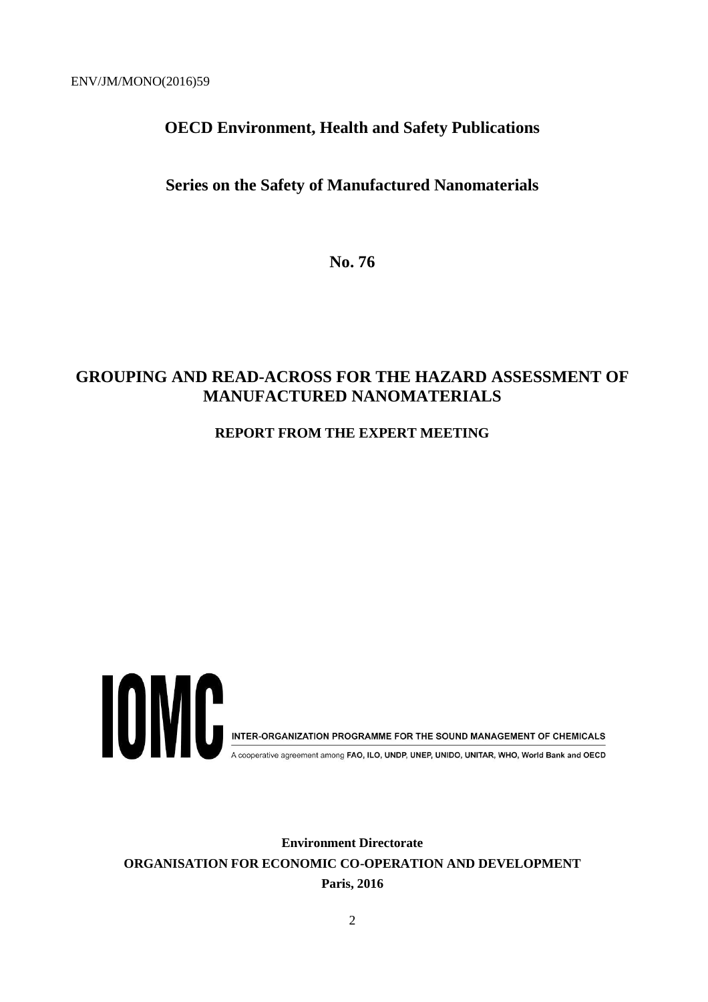# **OECD Environment, Health and Safety Publications**

**Series on the Safety of Manufactured Nanomaterials** 

**No. 76**

# **GROUPING AND READ-ACROSS FOR THE HAZARD ASSESSMENT OF MANUFACTURED NANOMATERIALS**

# **REPORT FROM THE EXPERT MEETING**



–<br>A cooperative agreement among FAO, ILO, UNDP, UNEP, UNIDO, UNITAR, WHO, World Bank and OECD

**Environment Directorate ORGANISATION FOR ECONOMIC CO-OPERATION AND DEVELOPMENT Paris, 2016**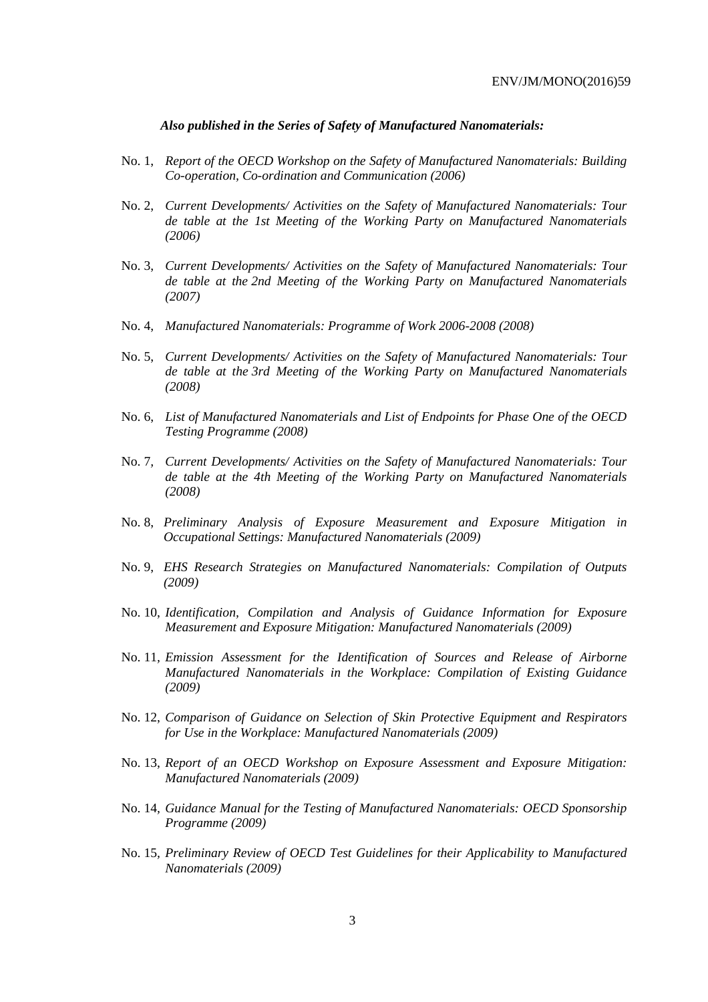#### *Also published in the Series of Safety of Manufactured Nanomaterials:*

- No. 1, *Report of the OECD Workshop on the Safety of Manufactured Nanomaterials: Building Co-operation, Co-ordination and Communication (2006)*
- No. 2, *Current Developments/ Activities on the Safety of Manufactured Nanomaterials: Tour de table at the 1st Meeting of the Working Party on Manufactured Nanomaterials (2006)*
- No. 3, *Current Developments/ Activities on the Safety of Manufactured Nanomaterials: Tour de table at the 2nd Meeting of the Working Party on Manufactured Nanomaterials (2007)*
- No. 4, *Manufactured Nanomaterials: Programme of Work 2006-2008 (2008)*
- No. 5, *Current Developments/ Activities on the Safety of Manufactured Nanomaterials: Tour de table at the 3rd Meeting of the Working Party on Manufactured Nanomaterials (2008)*
- No. 6, *List of Manufactured Nanomaterials and List of Endpoints for Phase One of the OECD Testing Programme (2008)*
- No. 7*, Current Developments/ Activities on the Safety of Manufactured Nanomaterials: Tour de table at the 4th Meeting of the Working Party on Manufactured Nanomaterials (2008)*
- No. 8, *Preliminary Analysis of Exposure Measurement and Exposure Mitigation in Occupational Settings: Manufactured Nanomaterials (2009)*
- No. 9, *EHS Research Strategies on Manufactured Nanomaterials: Compilation of Outputs (2009)*
- No. 10, *Identification, Compilation and Analysis of Guidance Information for Exposure Measurement and Exposure Mitigation: Manufactured Nanomaterials (2009)*
- No. 11*, Emission Assessment for the Identification of Sources and Release of Airborne Manufactured Nanomaterials in the Workplace: Compilation of Existing Guidance (2009)*
- No. 12, *Comparison of Guidance on Selection of Skin Protective Equipment and Respirators for Use in the Workplace: Manufactured Nanomaterials (2009)*
- No. 13, *Report of an OECD Workshop on Exposure Assessment and Exposure Mitigation: Manufactured Nanomaterials (2009)*
- No. 14*, Guidance Manual for the Testing of Manufactured Nanomaterials: OECD Sponsorship Programme (2009)*
- No. 15*, Preliminary Review of OECD Test Guidelines for their Applicability to Manufactured Nanomaterials (2009)*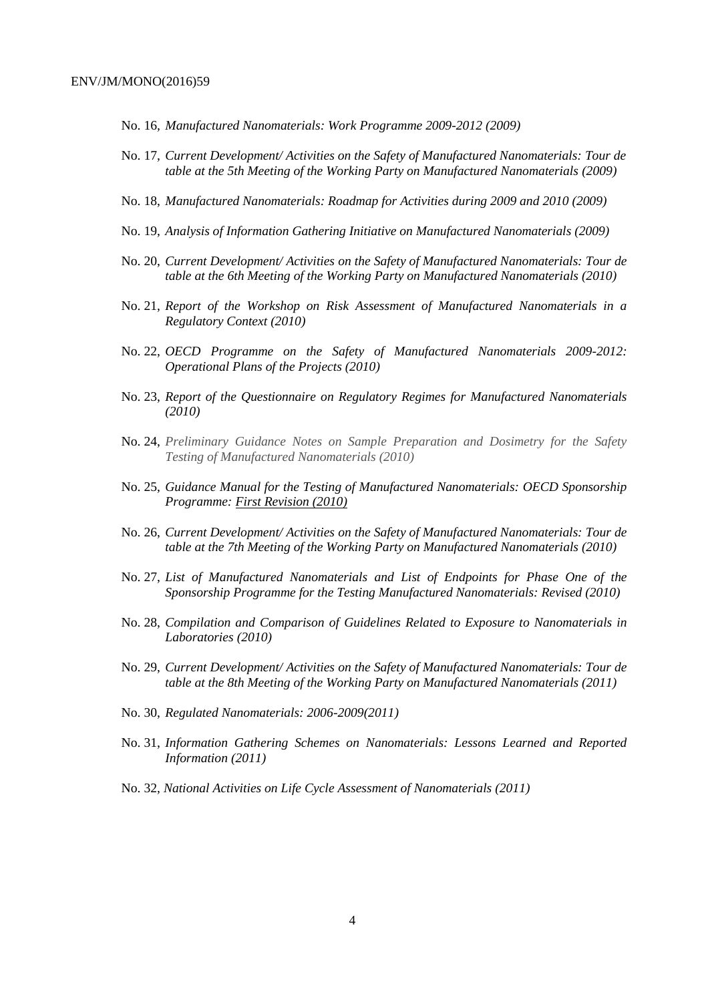- No. 16*, Manufactured Nanomaterials: Work Programme 2009-2012 (2009)*
- No. 17, *Current Development/ Activities on the Safety of Manufactured Nanomaterials: Tour de table at the 5th Meeting of the Working Party on Manufactured Nanomaterials (2009)*
- No. 18, *Manufactured Nanomaterials: Roadmap for Activities during 2009 and 2010 (2009)*
- No. 19, *Analysis of Information Gathering Initiative on Manufactured Nanomaterials (2009)*
- No. 20, *Current Development/ Activities on the Safety of Manufactured Nanomaterials: Tour de table at the 6th Meeting of the Working Party on Manufactured Nanomaterials (2010)*
- No. 21, *Report of the Workshop on Risk Assessment of Manufactured Nanomaterials in a Regulatory Context (2010)*
- No. 22, *OECD Programme on the Safety of Manufactured Nanomaterials 2009-2012: Operational Plans of the Projects (2010)*
- No. 23, *Report of the Questionnaire on Regulatory Regimes for Manufactured Nanomaterials (2010)*
- No. 24, *Preliminary Guidance Notes on Sample Preparation and Dosimetry for the Safety Testing of Manufactured Nanomaterials (2010)*
- No. 25, *Guidance Manual for the Testing of Manufactured Nanomaterials: OECD Sponsorship Programme: First Revision (2010)*
- No. 26, *Current Development/ Activities on the Safety of Manufactured Nanomaterials: Tour de table at the 7th Meeting of the Working Party on Manufactured Nanomaterials (2010)*
- No. 27, *List of Manufactured Nanomaterials and List of Endpoints for Phase One of the Sponsorship Programme for the Testing Manufactured Nanomaterials: Revised (2010)*
- No. 28, *Compilation and Comparison of Guidelines Related to Exposure to Nanomaterials in Laboratories (2010)*
- No. 29, *Current Development/ Activities on the Safety of Manufactured Nanomaterials: Tour de table at the 8th Meeting of the Working Party on Manufactured Nanomaterials (2011)*
- No. 30, *Regulated Nanomaterials: 2006-2009(2011)*
- No. 31, *Information Gathering Schemes on Nanomaterials: Lessons Learned and Reported Information (2011)*
- No. 32, *National Activities on Life Cycle Assessment of Nanomaterials (2011)*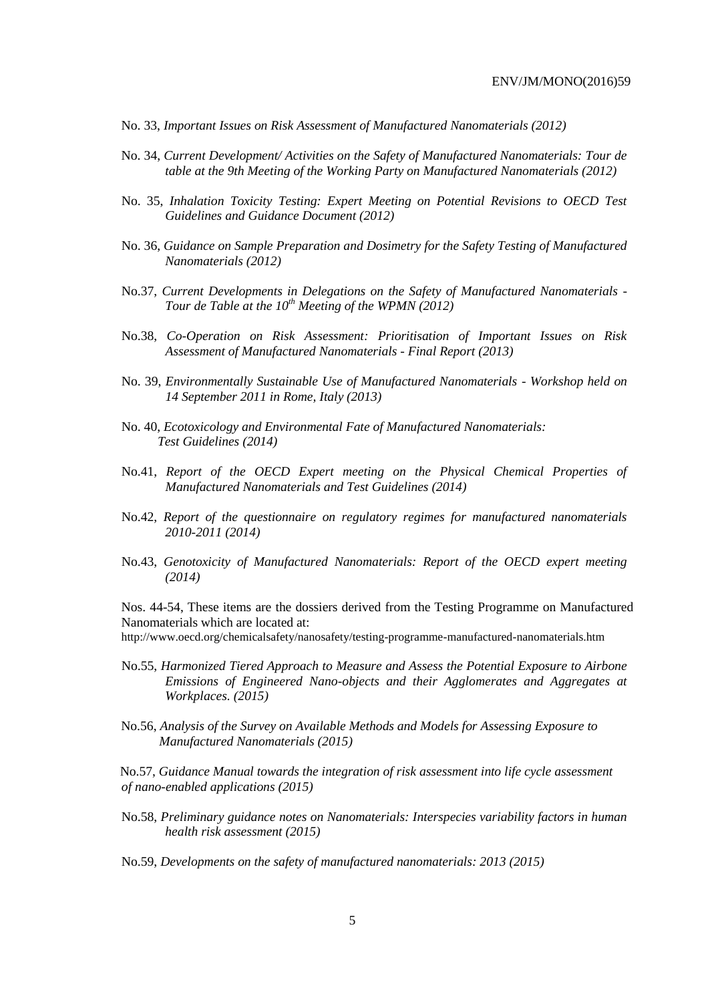- No. 33, *Important Issues on Risk Assessment of Manufactured Nanomaterials (2012)*
- No. 34, *Current Development/ Activities on the Safety of Manufactured Nanomaterials: Tour de table at the 9th Meeting of the Working Party on Manufactured Nanomaterials (2012)*
- No. 35, *Inhalation Toxicity Testing: Expert Meeting on Potential Revisions to OECD Test Guidelines and Guidance Document (2012)*
- No. 36, *Guidance on Sample Preparation and Dosimetry for the Safety Testing of Manufactured Nanomaterials (2012)*
- No.37, *Current Developments in Delegations on the Safety of Manufactured Nanomaterials - Tour de Table at the 10th Meeting of the WPMN (2012)*
- No.38, *Co-Operation on Risk Assessment: Prioritisation of Important Issues on Risk Assessment of Manufactured Nanomaterials - Final Report (2013)*
- No. 39, *Environmentally Sustainable Use of Manufactured Nanomaterials - Workshop held on 14 September 2011 in Rome, Italy (2013)*
- No. 40, *Ecotoxicology and Environmental Fate of Manufactured Nanomaterials: Test Guidelines (2014)*
- No.41, *Report of the OECD Expert meeting on the Physical Chemical Properties of Manufactured Nanomaterials and Test Guidelines (2014)*
- No.42, *Report of the questionnaire on regulatory regimes for manufactured nanomaterials 2010-2011 (2014)*
- No.43, *Genotoxicity of Manufactured Nanomaterials: Report of the OECD expert meeting (2014)*

Nos. 44-54, These items are the dossiers derived from the Testing Programme on Manufactured Nanomaterials which are located at:

http://www.oecd.org/chemicalsafety/nanosafety/testing-programme-manufactured-nanomaterials.htm

- No.55, *Harmonized Tiered Approach to Measure and Assess the Potential Exposure to Airbone Emissions of Engineered Nano-objects and their Agglomerates and Aggregates at Workplaces. (2015)*
- No.56, *Analysis of the Survey on Available Methods and Models for Assessing Exposure to Manufactured Nanomaterials (2015)*

 No.57, *Guidance Manual towards the integration of risk assessment into life cycle assessment of nano-enabled applications (2015)*

- No.58, *Preliminary guidance notes on Nanomaterials: Interspecies variability factors in human health risk assessment (2015)*
- No.59, *Developments on the safety of manufactured nanomaterials: 2013 (2015)*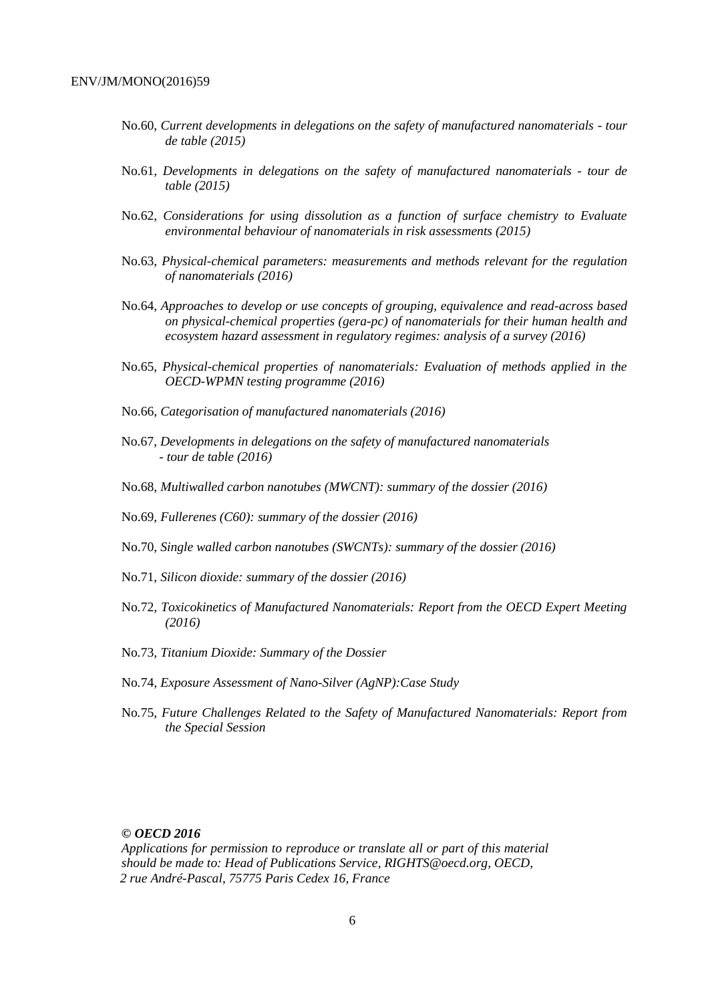- No.60, *Current developments in delegations on the safety of manufactured nanomaterials - tour de table (2015)*
- No.61, *Developments in delegations on the safety of manufactured nanomaterials - tour de table (2015)*
- No.62, *Considerations for using dissolution as a function of surface chemistry to Evaluate environmental behaviour of nanomaterials in risk assessments (2015)*
- No.63, *Physical-chemical parameters: measurements and methods relevant for the regulation of nanomaterials (2016)*
- No.64, *Approaches to develop or use concepts of grouping, equivalence and read-across based on physical-chemical properties (gera-pc) of nanomaterials for their human health and ecosystem hazard assessment in regulatory regimes: analysis of a survey (2016)*
- No.65, *Physical-chemical properties of nanomaterials: Evaluation of methods applied in the OECD-WPMN testing programme (2016)*
- No.66, *Categorisation of manufactured nanomaterials (2016)*
- No.67, *Developments in delegations on the safety of manufactured nanomaterials - tour de table (2016)*
- No.68, *Multiwalled carbon nanotubes (MWCNT): summary of the dossier (2016)*
- No.69, *Fullerenes (C60): summary of the dossier (2016)*
- No.70, *Single walled carbon nanotubes (SWCNTs): summary of the dossier (2016)*
- No.71, *Silicon dioxide: summary of the dossier (2016)*
- No*.*72*, Toxicokinetics of Manufactured Nanomaterials: Report from the OECD Expert Meeting (2016)*
- No*.*73*, Titanium Dioxide: Summary of the Dossier*
- No*.*74*, Exposure Assessment of Nano-Silver (AgNP):Case Study*
- No*.*75, *Future Challenges Related to the Safety of Manufactured Nanomaterials: Report from the Special Session*

#### *© OECD 2016*

*Applications for permission to reproduce or translate all or part of this material should be made to: Head of Publications Service, RIGHTS@oecd.org, OECD, 2 rue André-Pascal, 75775 Paris Cedex 16, France*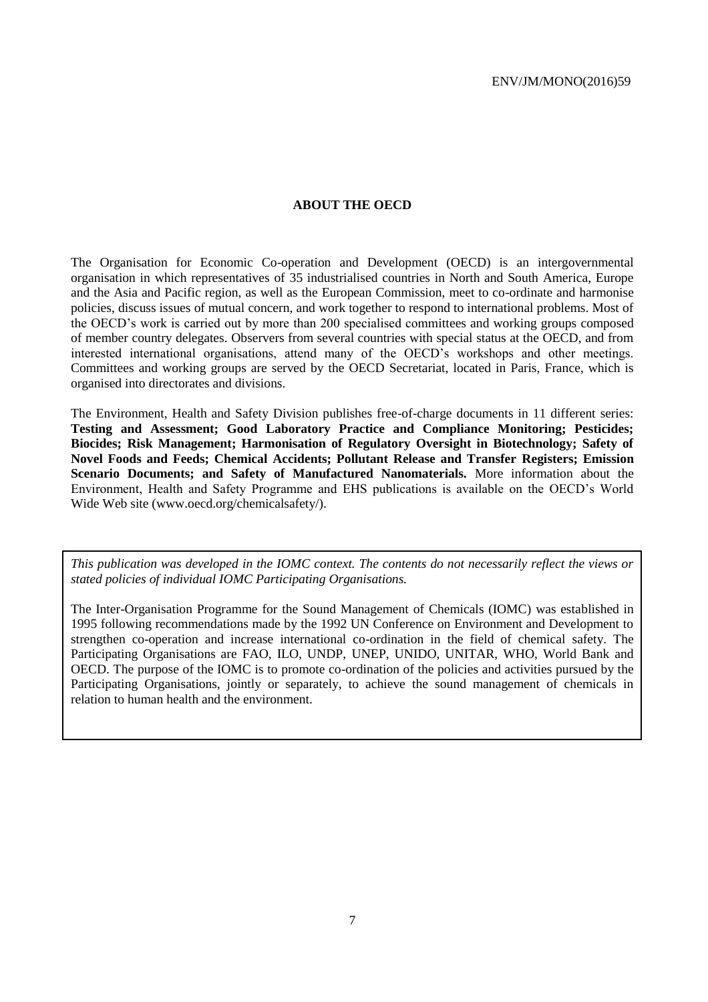# **ABOUT THE OECD**

The Organisation for Economic Co-operation and Development (OECD) is an intergovernmental organisation in which representatives of 35 industrialised countries in North and South America, Europe and the Asia and Pacific region, as well as the European Commission, meet to co-ordinate and harmonise policies, discuss issues of mutual concern, and work together to respond to international problems. Most of the OECD's work is carried out by more than 200 specialised committees and working groups composed of member country delegates. Observers from several countries with special status at the OECD, and from interested international organisations, attend many of the OECD's workshops and other meetings. Committees and working groups are served by the OECD Secretariat, located in Paris, France, which is organised into directorates and divisions.

The Environment, Health and Safety Division publishes free-of-charge documents in 11 different series: **Testing and Assessment; Good Laboratory Practice and Compliance Monitoring; Pesticides; Biocides; Risk Management; Harmonisation of Regulatory Oversight in Biotechnology; Safety of Novel Foods and Feeds; Chemical Accidents; Pollutant Release and Transfer Registers; Emission Scenario Documents; and Safety of Manufactured Nanomaterials.** More information about the Environment, Health and Safety Programme and EHS publications is available on the OECD's World Wide Web site (www.oecd.org/chemicalsafety/).

*This publication was developed in the IOMC context. The contents do not necessarily reflect the views or stated policies of individual IOMC Participating Organisations.*

The Inter-Organisation Programme for the Sound Management of Chemicals (IOMC) was established in 1995 following recommendations made by the 1992 UN Conference on Environment and Development to strengthen co-operation and increase international co-ordination in the field of chemical safety. The Participating Organisations are FAO, ILO, UNDP, UNEP, UNIDO, UNITAR, WHO, World Bank and OECD. The purpose of the IOMC is to promote co-ordination of the policies and activities pursued by the Participating Organisations, jointly or separately, to achieve the sound management of chemicals in relation to human health and the environment.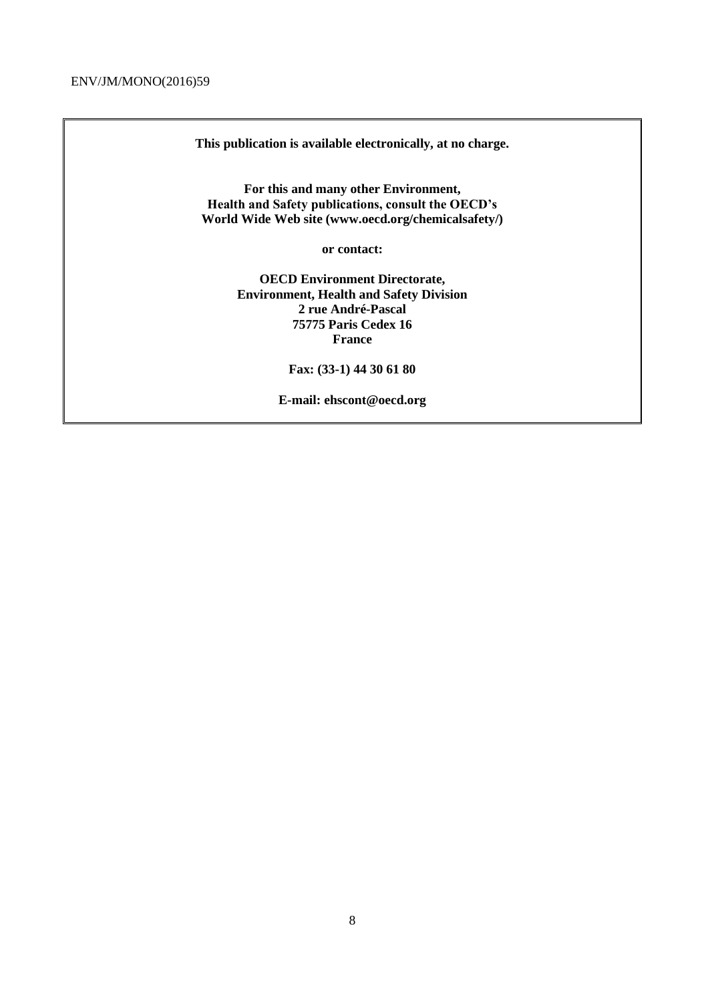**This publication is available electronically, at no charge.**

**For this and many other Environment, Health and Safety publications, consult the OECD's World Wide Web site (www.oecd.org/chemicalsafety/)**

**or contact:**

**OECD Environment Directorate, Environment, Health and Safety Division 2 rue André-Pascal 75775 Paris Cedex 16 France**

**Fax: (33-1) 44 30 61 80** 

**E-mail: ehscont@oecd.org**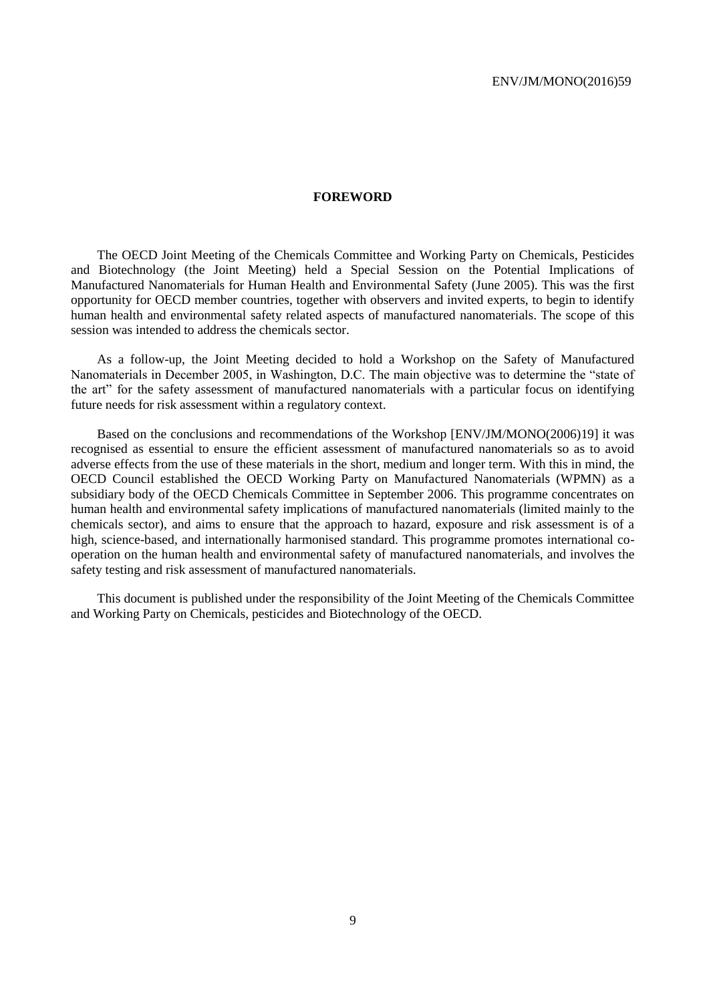#### **FOREWORD**

The OECD Joint Meeting of the Chemicals Committee and Working Party on Chemicals, Pesticides and Biotechnology (the Joint Meeting) held a Special Session on the Potential Implications of Manufactured Nanomaterials for Human Health and Environmental Safety (June 2005). This was the first opportunity for OECD member countries, together with observers and invited experts, to begin to identify human health and environmental safety related aspects of manufactured nanomaterials. The scope of this session was intended to address the chemicals sector.

As a follow-up, the Joint Meeting decided to hold a Workshop on the Safety of Manufactured Nanomaterials in December 2005, in Washington, D.C. The main objective was to determine the "state of the art" for the safety assessment of manufactured nanomaterials with a particular focus on identifying future needs for risk assessment within a regulatory context.

Based on the conclusions and recommendations of the Workshop [ENV/JM/MONO(2006)19] it was recognised as essential to ensure the efficient assessment of manufactured nanomaterials so as to avoid adverse effects from the use of these materials in the short, medium and longer term. With this in mind, the OECD Council established the OECD Working Party on Manufactured Nanomaterials (WPMN) as a subsidiary body of the OECD Chemicals Committee in September 2006. This programme concentrates on human health and environmental safety implications of manufactured nanomaterials (limited mainly to the chemicals sector), and aims to ensure that the approach to hazard, exposure and risk assessment is of a high, science-based, and internationally harmonised standard. This programme promotes international cooperation on the human health and environmental safety of manufactured nanomaterials, and involves the safety testing and risk assessment of manufactured nanomaterials.

This document is published under the responsibility of the Joint Meeting of the Chemicals Committee and Working Party on Chemicals, pesticides and Biotechnology of the OECD.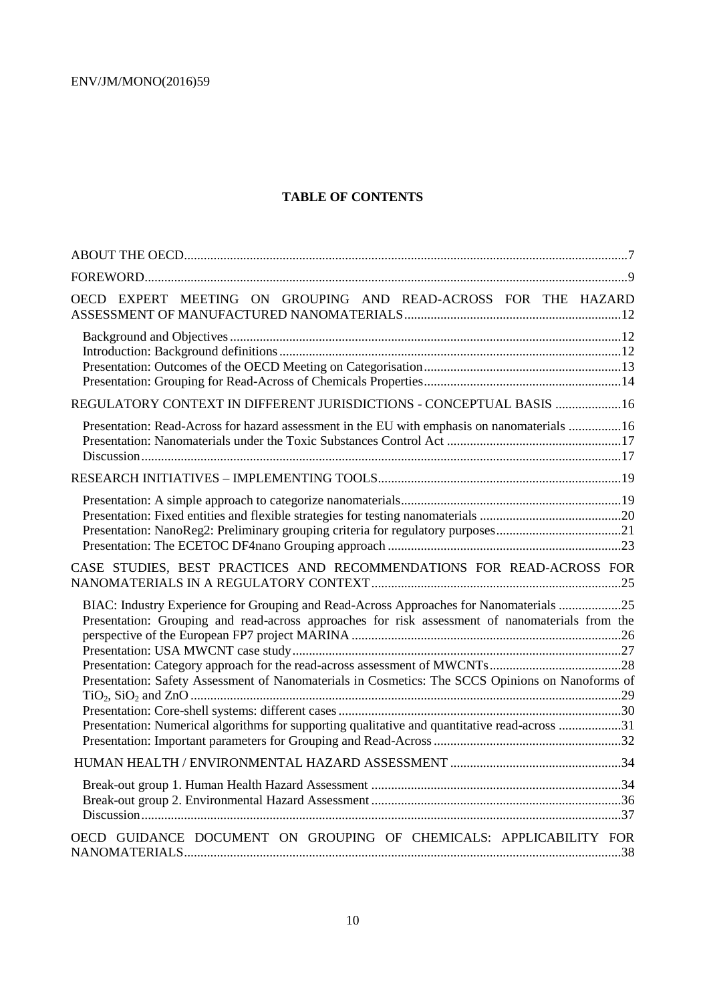# **TABLE OF CONTENTS**

| OECD EXPERT MEETING ON GROUPING AND READ-ACROSS FOR THE HAZARD                                                                                                                                                                                                                                                                                                                                 |
|------------------------------------------------------------------------------------------------------------------------------------------------------------------------------------------------------------------------------------------------------------------------------------------------------------------------------------------------------------------------------------------------|
|                                                                                                                                                                                                                                                                                                                                                                                                |
| REGULATORY CONTEXT IN DIFFERENT JURISDICTIONS - CONCEPTUAL BASIS  16                                                                                                                                                                                                                                                                                                                           |
| Presentation: Read-Across for hazard assessment in the EU with emphasis on nanomaterials 16                                                                                                                                                                                                                                                                                                    |
|                                                                                                                                                                                                                                                                                                                                                                                                |
| Presentation: NanoReg2: Preliminary grouping criteria for regulatory purposes21                                                                                                                                                                                                                                                                                                                |
| CASE STUDIES, BEST PRACTICES AND RECOMMENDATIONS FOR READ-ACROSS FOR                                                                                                                                                                                                                                                                                                                           |
| BIAC: Industry Experience for Grouping and Read-Across Approaches for Nanomaterials 25<br>Presentation: Grouping and read-across approaches for risk assessment of nanomaterials from the<br>Presentation: Safety Assessment of Nanomaterials in Cosmetics: The SCCS Opinions on Nanoforms of<br>Presentation: Numerical algorithms for supporting qualitative and quantitative read-across 31 |
|                                                                                                                                                                                                                                                                                                                                                                                                |
|                                                                                                                                                                                                                                                                                                                                                                                                |
| OECD GUIDANCE DOCUMENT ON GROUPING OF CHEMICALS: APPLICABILITY FOR                                                                                                                                                                                                                                                                                                                             |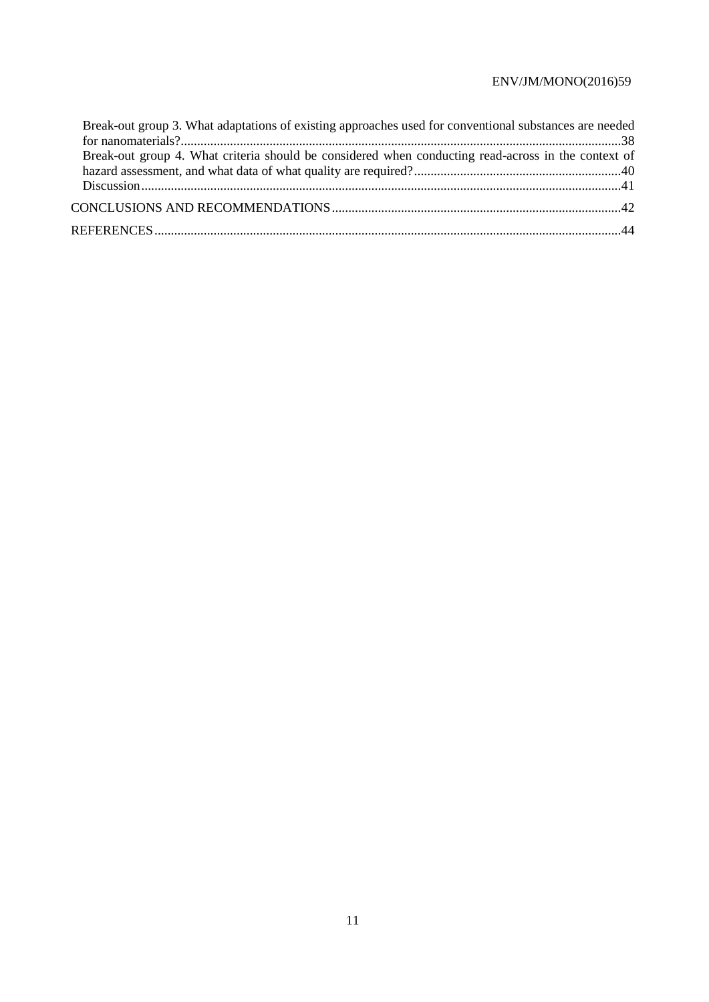| Break-out group 3. What adaptations of existing approaches used for conventional substances are needed |  |
|--------------------------------------------------------------------------------------------------------|--|
|                                                                                                        |  |
| Break-out group 4. What criteria should be considered when conducting read-across in the context of    |  |
|                                                                                                        |  |
|                                                                                                        |  |
|                                                                                                        |  |
|                                                                                                        |  |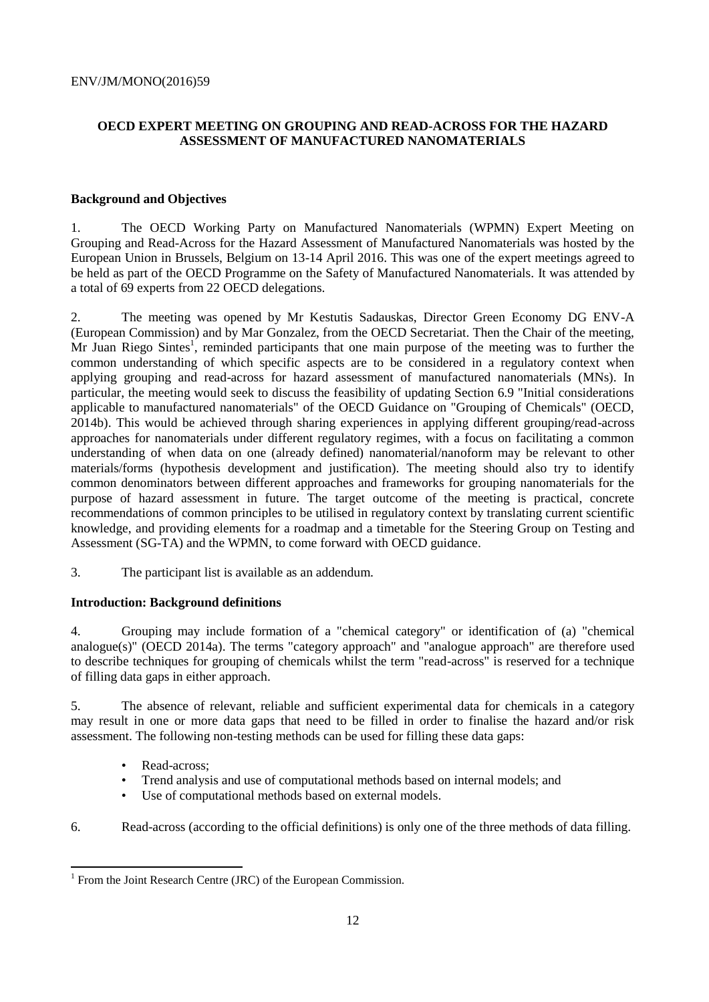# **OECD EXPERT MEETING ON GROUPING AND READ-ACROSS FOR THE HAZARD ASSESSMENT OF MANUFACTURED NANOMATERIALS**

# **Background and Objectives**

1. The OECD Working Party on Manufactured Nanomaterials (WPMN) Expert Meeting on Grouping and Read-Across for the Hazard Assessment of Manufactured Nanomaterials was hosted by the European Union in Brussels, Belgium on 13-14 April 2016. This was one of the expert meetings agreed to be held as part of the OECD Programme on the Safety of Manufactured Nanomaterials. It was attended by a total of 69 experts from 22 OECD delegations.

2. The meeting was opened by Mr Kestutis Sadauskas, Director Green Economy DG ENV-A (European Commission) and by Mar Gonzalez, from the OECD Secretariat. Then the Chair of the meeting, Mr Juan Riego Sintes<sup>1</sup>, reminded participants that one main purpose of the meeting was to further the common understanding of which specific aspects are to be considered in a regulatory context when applying grouping and read-across for hazard assessment of manufactured nanomaterials (MNs). In particular, the meeting would seek to discuss the feasibility of updating Section 6.9 "Initial considerations applicable to manufactured nanomaterials" of the OECD Guidance on "Grouping of Chemicals" (OECD, 2014b). This would be achieved through sharing experiences in applying different grouping/read-across approaches for nanomaterials under different regulatory regimes, with a focus on facilitating a common understanding of when data on one (already defined) nanomaterial/nanoform may be relevant to other materials/forms (hypothesis development and justification). The meeting should also try to identify common denominators between different approaches and frameworks for grouping nanomaterials for the purpose of hazard assessment in future. The target outcome of the meeting is practical, concrete recommendations of common principles to be utilised in regulatory context by translating current scientific knowledge, and providing elements for a roadmap and a timetable for the Steering Group on Testing and Assessment (SG-TA) and the WPMN, to come forward with OECD guidance.

3. The participant list is available as an addendum.

# **Introduction: Background definitions**

4. Grouping may include formation of a "chemical category" or identification of (a) "chemical analogue(s)" (OECD 2014a). The terms "category approach" and "analogue approach" are therefore used to describe techniques for grouping of chemicals whilst the term "read-across" is reserved for a technique of filling data gaps in either approach.

5. The absence of relevant, reliable and sufficient experimental data for chemicals in a category may result in one or more data gaps that need to be filled in order to finalise the hazard and/or risk assessment. The following non-testing methods can be used for filling these data gaps:

Read-across:

 $\overline{a}$ 

- Trend analysis and use of computational methods based on internal models; and
- Use of computational methods based on external models.

6. Read-across (according to the official definitions) is only one of the three methods of data filling.

<sup>&</sup>lt;sup>1</sup> From the Joint Research Centre (JRC) of the European Commission.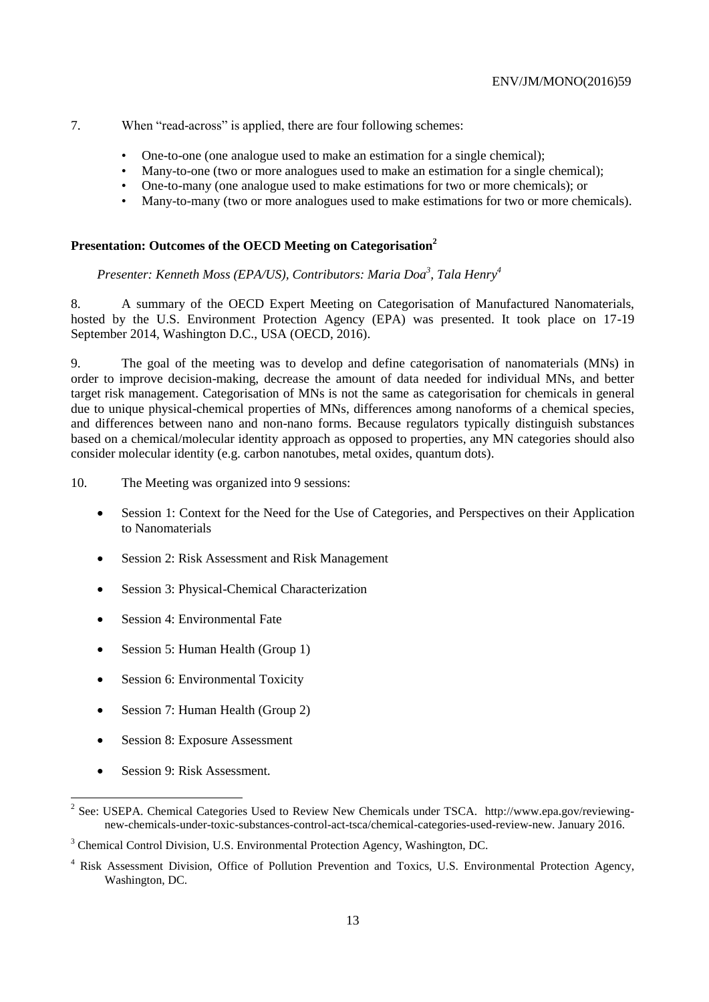- 7. When "read-across" is applied, there are four following schemes:
	- One-to-one (one analogue used to make an estimation for a single chemical);
	- Many-to-one (two or more analogues used to make an estimation for a single chemical);
	- One-to-many (one analogue used to make estimations for two or more chemicals); or
	- Many-to-many (two or more analogues used to make estimations for two or more chemicals).

# **Presentation: Outcomes of the OECD Meeting on Categorisation<sup>2</sup>**

*Presenter: Kenneth Moss (EPA/US), Contributors: Maria Doa<sup>3</sup> , Tala Henry<sup>4</sup>*

8. A summary of the OECD Expert Meeting on Categorisation of Manufactured Nanomaterials, hosted by the U.S. Environment Protection Agency (EPA) was presented. It took place on 17-19 September 2014, Washington D.C., USA (OECD, 2016).

9. The goal of the meeting was to develop and define categorisation of nanomaterials (MNs) in order to improve decision-making, decrease the amount of data needed for individual MNs, and better target risk management. Categorisation of MNs is not the same as categorisation for chemicals in general due to unique physical-chemical properties of MNs, differences among nanoforms of a chemical species, and differences between nano and non-nano forms. Because regulators typically distinguish substances based on a chemical/molecular identity approach as opposed to properties, any MN categories should also consider molecular identity (e.g. carbon nanotubes, metal oxides, quantum dots).

10. The Meeting was organized into 9 sessions:

- Session 1: Context for the Need for the Use of Categories, and Perspectives on their Application to Nanomaterials
- Session 2: Risk Assessment and Risk Management
- Session 3: Physical-Chemical Characterization
- Session 4: Environmental Fate
- Session 5: Human Health (Group 1)
- Session 6: Environmental Toxicity
- Session 7: Human Health (Group 2)
- Session 8: Exposure Assessment
- Session 9: Risk Assessment.

<sup>&</sup>lt;sup>2</sup> See: USEPA. Chemical Categories Used to Review New Chemicals under TSCA. http://www.epa.gov/reviewingnew-chemicals-under-toxic-substances-control-act-tsca/chemical-categories-used-review-new. January 2016.

<sup>&</sup>lt;sup>3</sup> Chemical Control Division, U.S. Environmental Protection Agency, Washington, DC.

<sup>4</sup> Risk Assessment Division, Office of Pollution Prevention and Toxics, U.S. Environmental Protection Agency, Washington, DC.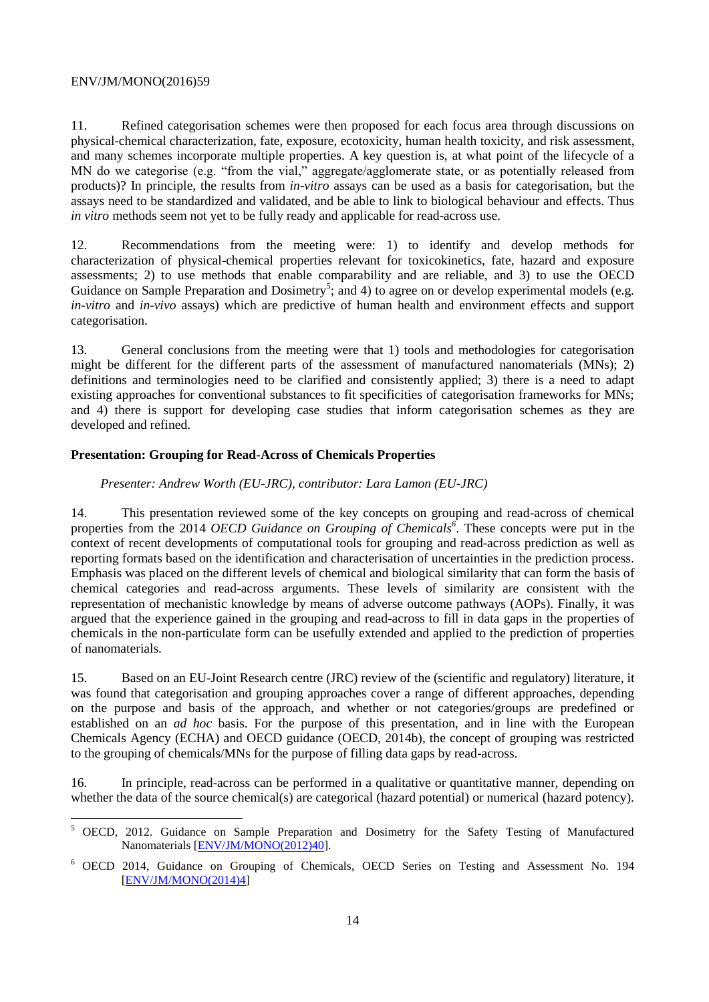$\overline{a}$ 

11. Refined categorisation schemes were then proposed for each focus area through discussions on physical-chemical characterization, fate, exposure, ecotoxicity, human health toxicity, and risk assessment, and many schemes incorporate multiple properties. A key question is, at what point of the lifecycle of a MN do we categorise (e.g. "from the vial," aggregate/agglomerate state, or as potentially released from products)? In principle, the results from *in-vitro* assays can be used as a basis for categorisation, but the assays need to be standardized and validated, and be able to link to biological behaviour and effects. Thus *in vitro* methods seem not yet to be fully ready and applicable for read-across use.

12. Recommendations from the meeting were: 1) to identify and develop methods for characterization of physical-chemical properties relevant for toxicokinetics, fate, hazard and exposure assessments; 2) to use methods that enable comparability and are reliable, and 3) to use the OECD Guidance on Sample Preparation and Dosimetry<sup>5</sup>; and 4) to agree on or develop experimental models (e.g. *in-vitro* and *in-vivo* assays) which are predictive of human health and environment effects and support categorisation.

13. General conclusions from the meeting were that 1) tools and methodologies for categorisation might be different for the different parts of the assessment of manufactured nanomaterials (MNs); 2) definitions and terminologies need to be clarified and consistently applied; 3) there is a need to adapt existing approaches for conventional substances to fit specificities of categorisation frameworks for MNs; and 4) there is support for developing case studies that inform categorisation schemes as they are developed and refined.

# **Presentation: Grouping for Read-Across of Chemicals Properties**

# *Presenter: Andrew Worth (EU-JRC), contributor: Lara Lamon (EU-JRC)*

14. This presentation reviewed some of the key concepts on grouping and read-across of chemical properties from the 2014 *OECD Guidance on Grouping of Chemicals<sup>6</sup>* . These concepts were put in the context of recent developments of computational tools for grouping and read-across prediction as well as reporting formats based on the identification and characterisation of uncertainties in the prediction process. Emphasis was placed on the different levels of chemical and biological similarity that can form the basis of chemical categories and read-across arguments. These levels of similarity are consistent with the representation of mechanistic knowledge by means of adverse outcome pathways (AOPs). Finally, it was argued that the experience gained in the grouping and read-across to fill in data gaps in the properties of chemicals in the non-particulate form can be usefully extended and applied to the prediction of properties of nanomaterials.

15. Based on an EU-Joint Research centre (JRC) review of the (scientific and regulatory) literature, it was found that categorisation and grouping approaches cover a range of different approaches, depending on the purpose and basis of the approach, and whether or not categories/groups are predefined or established on an *ad hoc* basis. For the purpose of this presentation, and in line with the European Chemicals Agency (ECHA) and OECD guidance (OECD, 2014b), the concept of grouping was restricted to the grouping of chemicals/MNs for the purpose of filling data gaps by read-across.

16. In principle, read-across can be performed in a qualitative or quantitative manner, depending on whether the data of the source chemical(s) are categorical (hazard potential) or numerical (hazard potency).

<sup>&</sup>lt;sup>5</sup> OECD. 2012. Guidance on Sample Preparation and Dosimetry for the Safety Testing of Manufactured Nanomaterials [\[ENV/JM/MONO\(2012\)40\]](http://www2.oecd.org/oecdinfo/info.aspx?app=OLIScoteEN&Ref=ENV/JM/MONO(2012)40).

<sup>6</sup> OECD 2014, Guidance on Grouping of Chemicals, OECD Series on Testing and Assessment No. 194 [\[ENV/JM/MONO\(2014\)4\]](http://www2.oecd.org/oecdinfo/info.aspx?app=OLIScoteEN&Ref=ENV/JM/MONO(2014)4)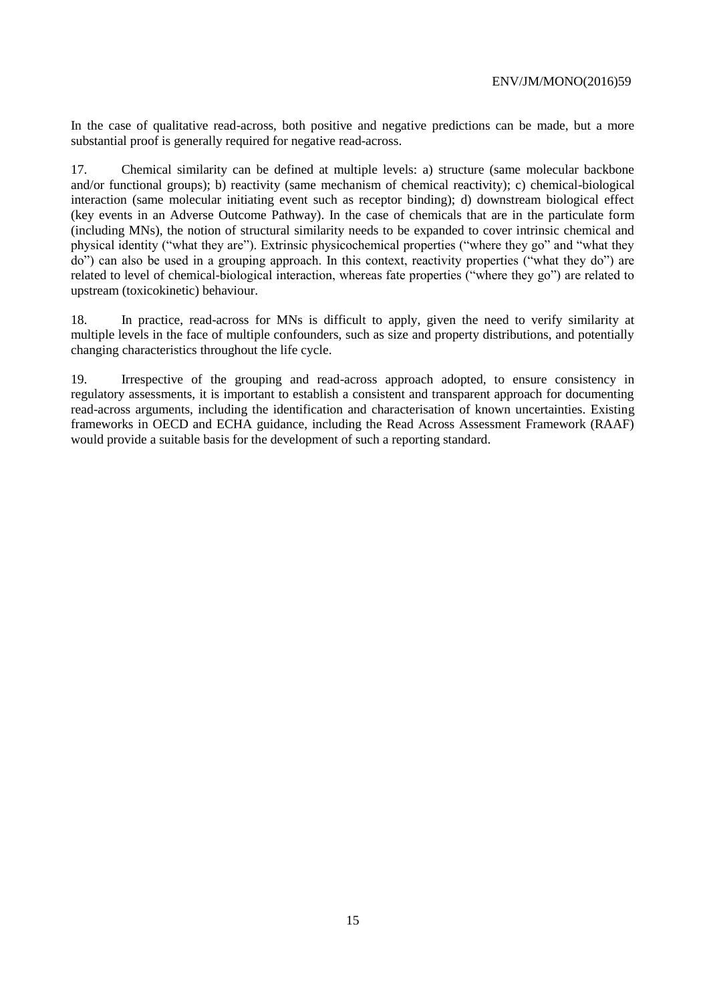In the case of qualitative read-across, both positive and negative predictions can be made, but a more substantial proof is generally required for negative read-across.

17. Chemical similarity can be defined at multiple levels: a) structure (same molecular backbone and/or functional groups); b) reactivity (same mechanism of chemical reactivity); c) chemical-biological interaction (same molecular initiating event such as receptor binding); d) downstream biological effect (key events in an Adverse Outcome Pathway). In the case of chemicals that are in the particulate form (including MNs), the notion of structural similarity needs to be expanded to cover intrinsic chemical and physical identity ("what they are"). Extrinsic physicochemical properties ("where they go" and "what they do") can also be used in a grouping approach. In this context, reactivity properties ("what they do") are related to level of chemical-biological interaction, whereas fate properties ("where they go") are related to upstream (toxicokinetic) behaviour.

18. In practice, read-across for MNs is difficult to apply, given the need to verify similarity at multiple levels in the face of multiple confounders, such as size and property distributions, and potentially changing characteristics throughout the life cycle.

19. Irrespective of the grouping and read-across approach adopted, to ensure consistency in regulatory assessments, it is important to establish a consistent and transparent approach for documenting read-across arguments, including the identification and characterisation of known uncertainties. Existing frameworks in OECD and ECHA guidance, including the Read Across Assessment Framework (RAAF) would provide a suitable basis for the development of such a reporting standard.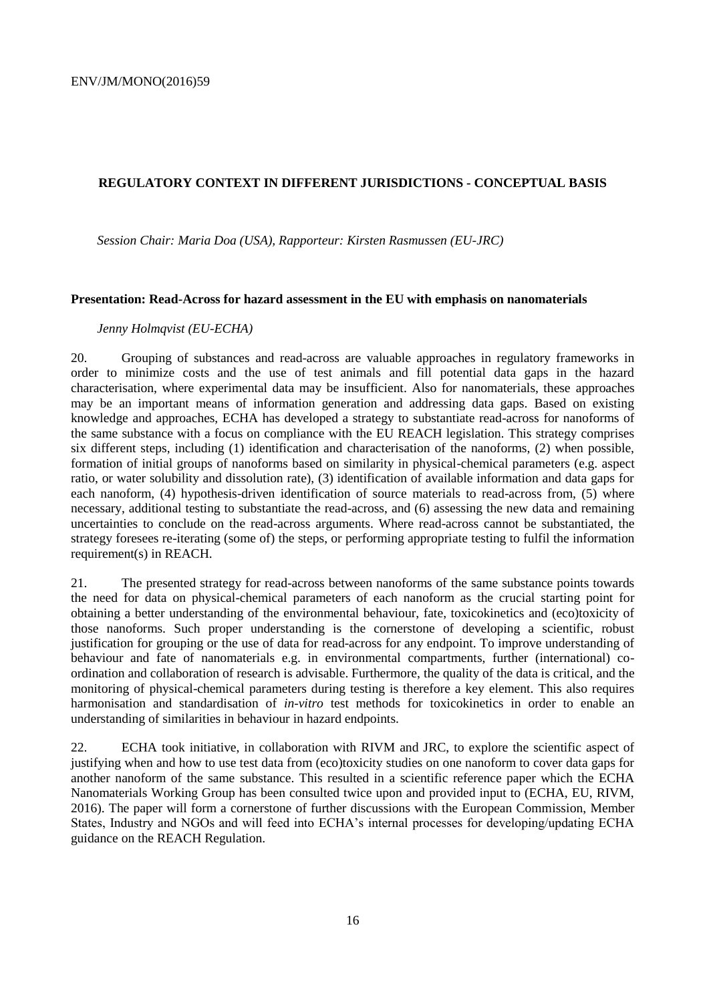# **REGULATORY CONTEXT IN DIFFERENT JURISDICTIONS - CONCEPTUAL BASIS**

*Session Chair: Maria Doa (USA), Rapporteur: Kirsten Rasmussen (EU-JRC)*

#### **Presentation: Read-Across for hazard assessment in the EU with emphasis on nanomaterials**

#### *Jenny Holmqvist (EU-ECHA)*

20. Grouping of substances and read-across are valuable approaches in regulatory frameworks in order to minimize costs and the use of test animals and fill potential data gaps in the hazard characterisation, where experimental data may be insufficient. Also for nanomaterials, these approaches may be an important means of information generation and addressing data gaps. Based on existing knowledge and approaches, ECHA has developed a strategy to substantiate read-across for nanoforms of the same substance with a focus on compliance with the EU REACH legislation. This strategy comprises six different steps, including (1) identification and characterisation of the nanoforms, (2) when possible, formation of initial groups of nanoforms based on similarity in physical-chemical parameters (e.g. aspect ratio, or water solubility and dissolution rate), (3) identification of available information and data gaps for each nanoform, (4) hypothesis-driven identification of source materials to read-across from, (5) where necessary, additional testing to substantiate the read-across, and (6) assessing the new data and remaining uncertainties to conclude on the read-across arguments. Where read-across cannot be substantiated, the strategy foresees re-iterating (some of) the steps, or performing appropriate testing to fulfil the information requirement(s) in REACH.

21. The presented strategy for read-across between nanoforms of the same substance points towards the need for data on physical-chemical parameters of each nanoform as the crucial starting point for obtaining a better understanding of the environmental behaviour, fate, toxicokinetics and (eco)toxicity of those nanoforms. Such proper understanding is the cornerstone of developing a scientific, robust justification for grouping or the use of data for read-across for any endpoint. To improve understanding of behaviour and fate of nanomaterials e.g. in environmental compartments, further (international) coordination and collaboration of research is advisable. Furthermore, the quality of the data is critical, and the monitoring of physical-chemical parameters during testing is therefore a key element. This also requires harmonisation and standardisation of *in-vitro* test methods for toxicokinetics in order to enable an understanding of similarities in behaviour in hazard endpoints.

22. ECHA took initiative, in collaboration with RIVM and JRC, to explore the scientific aspect of justifying when and how to use test data from (eco)toxicity studies on one nanoform to cover data gaps for another nanoform of the same substance. This resulted in a scientific reference paper which the ECHA Nanomaterials Working Group has been consulted twice upon and provided input to (ECHA, EU, RIVM, 2016). The paper will form a cornerstone of further discussions with the European Commission, Member States, Industry and NGOs and will feed into ECHA's internal processes for developing/updating ECHA guidance on the REACH Regulation.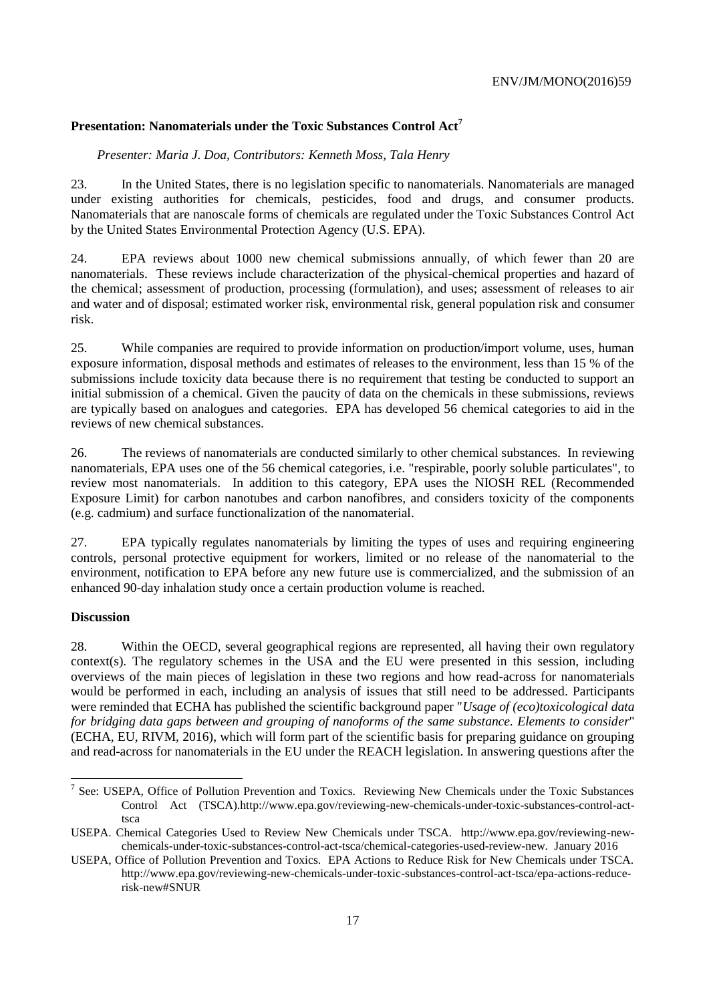# **Presentation: Nanomaterials under the Toxic Substances Control Act<sup>7</sup>**

#### *Presenter: Maria J. Doa, Contributors: Kenneth Moss, Tala Henry*

23. In the United States, there is no legislation specific to nanomaterials. Nanomaterials are managed under existing authorities for chemicals, pesticides, food and drugs, and consumer products. Nanomaterials that are nanoscale forms of chemicals are regulated under the Toxic Substances Control Act by the United States Environmental Protection Agency (U.S. EPA).

24. EPA reviews about 1000 new chemical submissions annually, of which fewer than 20 are nanomaterials. These reviews include characterization of the physical-chemical properties and hazard of the chemical; assessment of production, processing (formulation), and uses; assessment of releases to air and water and of disposal; estimated worker risk, environmental risk, general population risk and consumer risk.

25. While companies are required to provide information on production/import volume, uses, human exposure information, disposal methods and estimates of releases to the environment, less than 15 % of the submissions include toxicity data because there is no requirement that testing be conducted to support an initial submission of a chemical. Given the paucity of data on the chemicals in these submissions, reviews are typically based on analogues and categories. EPA has developed 56 chemical categories to aid in the reviews of new chemical substances.

26. The reviews of nanomaterials are conducted similarly to other chemical substances. In reviewing nanomaterials, EPA uses one of the 56 chemical categories, i.e. "respirable, poorly soluble particulates", to review most nanomaterials. In addition to this category, EPA uses the NIOSH REL (Recommended Exposure Limit) for carbon nanotubes and carbon nanofibres, and considers toxicity of the components (e.g. cadmium) and surface functionalization of the nanomaterial.

27. EPA typically regulates nanomaterials by limiting the types of uses and requiring engineering controls, personal protective equipment for workers, limited or no release of the nanomaterial to the environment, notification to EPA before any new future use is commercialized, and the submission of an enhanced 90-day inhalation study once a certain production volume is reached.

# **Discussion**

28. Within the OECD, several geographical regions are represented, all having their own regulatory context(s). The regulatory schemes in the USA and the EU were presented in this session, including overviews of the main pieces of legislation in these two regions and how read-across for nanomaterials would be performed in each, including an analysis of issues that still need to be addressed. Participants were reminded that ECHA has published the scientific background paper "*Usage of (eco)toxicological data for bridging data gaps between and grouping of nanoforms of the same substance. Elements to consider*" (ECHA, EU, RIVM, 2016), which will form part of the scientific basis for preparing guidance on grouping and read-across for nanomaterials in the EU under the REACH legislation. In answering questions after the

l <sup>7</sup> See: USEPA, Office of Pollution Prevention and Toxics. Reviewing New Chemicals under the Toxic Substances Control Act (TSCA).http://www.epa.gov/reviewing-new-chemicals-under-toxic-substances-control-acttsca

USEPA. Chemical Categories Used to Review New Chemicals under TSCA. http://www.epa.gov/reviewing-newchemicals-under-toxic-substances-control-act-tsca/chemical-categories-used-review-new. January 2016

USEPA, Office of Pollution Prevention and Toxics. EPA Actions to Reduce Risk for New Chemicals under TSCA. http://www.epa.gov/reviewing-new-chemicals-under-toxic-substances-control-act-tsca/epa-actions-reducerisk-new#SNUR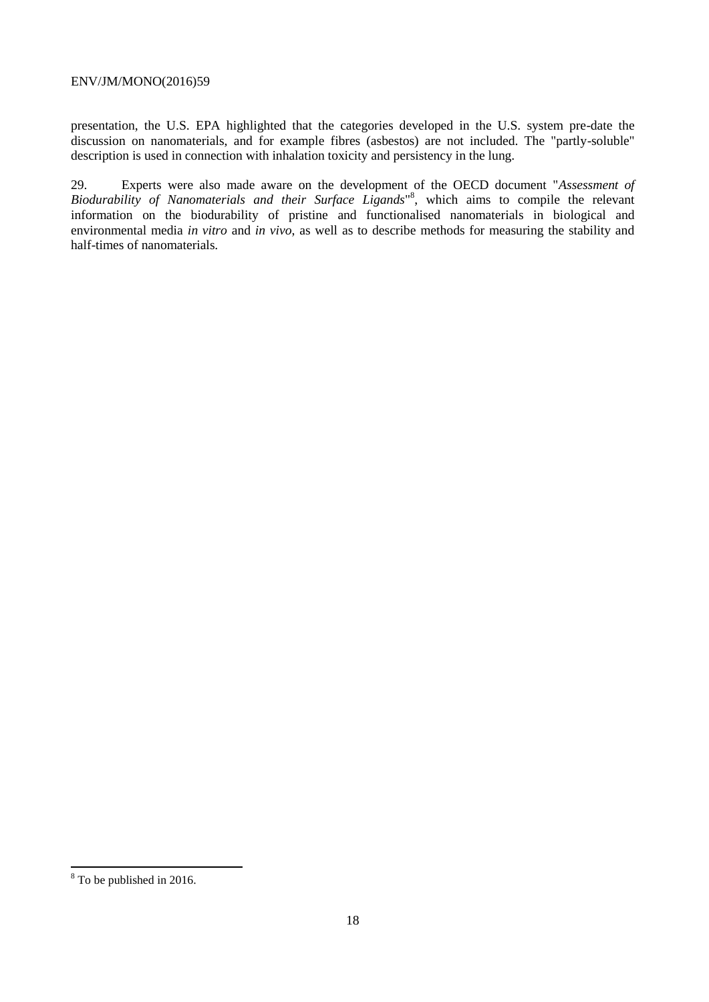presentation, the U.S. EPA highlighted that the categories developed in the U.S. system pre-date the discussion on nanomaterials, and for example fibres (asbestos) are not included. The "partly-soluble" description is used in connection with inhalation toxicity and persistency in the lung.

29. Experts were also made aware on the development of the OECD document "*Assessment of*  Biodurability of Nanomaterials and their Surface Ligands<sup>18</sup>, which aims to compile the relevant information on the biodurability of pristine and functionalised nanomaterials in biological and environmental media *in vitro* and *in vivo*, as well as to describe methods for measuring the stability and half-times of nanomaterials.

 $\overline{a}$ 

<sup>8</sup> To be published in 2016.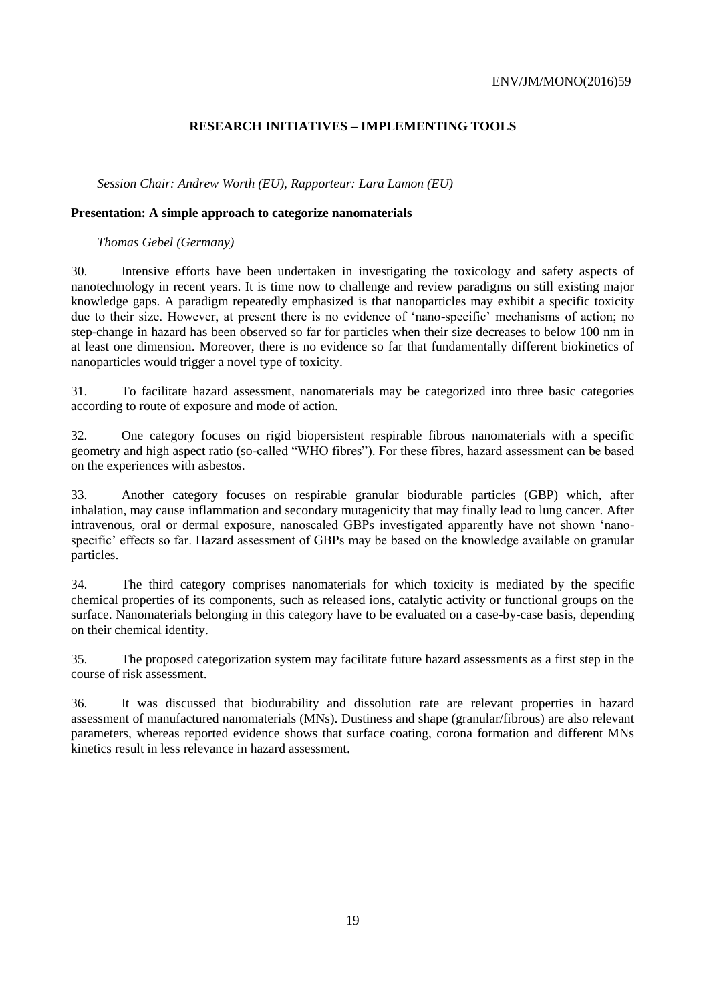# **RESEARCH INITIATIVES – IMPLEMENTING TOOLS**

*Session Chair: Andrew Worth (EU), Rapporteur: Lara Lamon (EU)* 

#### **Presentation: A simple approach to categorize nanomaterials**

*Thomas Gebel (Germany)*

30. Intensive efforts have been undertaken in investigating the toxicology and safety aspects of nanotechnology in recent years. It is time now to challenge and review paradigms on still existing major knowledge gaps. A paradigm repeatedly emphasized is that nanoparticles may exhibit a specific toxicity due to their size. However, at present there is no evidence of 'nano-specific' mechanisms of action; no step-change in hazard has been observed so far for particles when their size decreases to below 100 nm in at least one dimension. Moreover, there is no evidence so far that fundamentally different biokinetics of nanoparticles would trigger a novel type of toxicity.

31. To facilitate hazard assessment, nanomaterials may be categorized into three basic categories according to route of exposure and mode of action.

32. One category focuses on rigid biopersistent respirable fibrous nanomaterials with a specific geometry and high aspect ratio (so-called "WHO fibres"). For these fibres, hazard assessment can be based on the experiences with asbestos.

33. Another category focuses on respirable granular biodurable particles (GBP) which, after inhalation, may cause inflammation and secondary mutagenicity that may finally lead to lung cancer. After intravenous, oral or dermal exposure, nanoscaled GBPs investigated apparently have not shown 'nanospecific' effects so far. Hazard assessment of GBPs may be based on the knowledge available on granular particles.

34. The third category comprises nanomaterials for which toxicity is mediated by the specific chemical properties of its components, such as released ions, catalytic activity or functional groups on the surface. Nanomaterials belonging in this category have to be evaluated on a case-by-case basis, depending on their chemical identity.

35. The proposed categorization system may facilitate future hazard assessments as a first step in the course of risk assessment.

36. It was discussed that biodurability and dissolution rate are relevant properties in hazard assessment of manufactured nanomaterials (MNs). Dustiness and shape (granular/fibrous) are also relevant parameters, whereas reported evidence shows that surface coating, corona formation and different MNs kinetics result in less relevance in hazard assessment.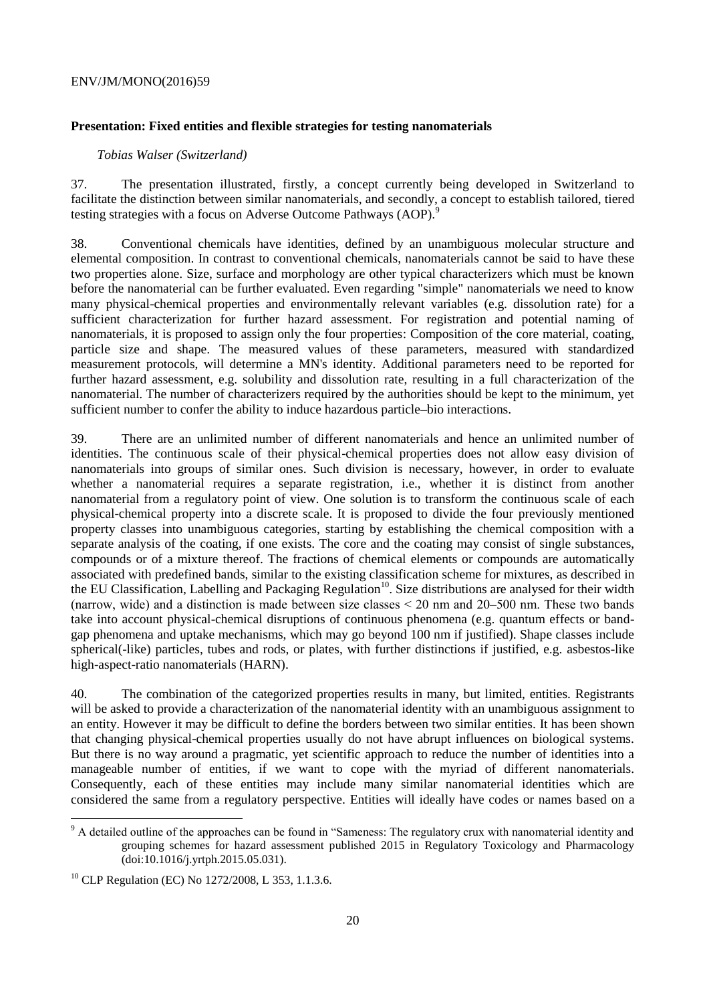#### **Presentation: Fixed entities and flexible strategies for testing nanomaterials**

#### *Tobias Walser (Switzerland)*

37. The presentation illustrated, firstly, a concept currently being developed in Switzerland to facilitate the distinction between similar nanomaterials, and secondly, a concept to establish tailored, tiered testing strategies with a focus on Adverse Outcome Pathways (AOP).<sup>9</sup>

38. Conventional chemicals have identities, defined by an unambiguous molecular structure and elemental composition. In contrast to conventional chemicals, nanomaterials cannot be said to have these two properties alone. Size, surface and morphology are other typical characterizers which must be known before the nanomaterial can be further evaluated. Even regarding "simple" nanomaterials we need to know many physical-chemical properties and environmentally relevant variables (e.g. dissolution rate) for a sufficient characterization for further hazard assessment. For registration and potential naming of nanomaterials, it is proposed to assign only the four properties: Composition of the core material, coating, particle size and shape. The measured values of these parameters, measured with standardized measurement protocols, will determine a MN's identity. Additional parameters need to be reported for further hazard assessment, e.g. solubility and dissolution rate, resulting in a full characterization of the nanomaterial. The number of characterizers required by the authorities should be kept to the minimum, yet sufficient number to confer the ability to induce hazardous particle–bio interactions.

39. There are an unlimited number of different nanomaterials and hence an unlimited number of identities. The continuous scale of their physical-chemical properties does not allow easy division of nanomaterials into groups of similar ones. Such division is necessary, however, in order to evaluate whether a nanomaterial requires a separate registration, i.e., whether it is distinct from another nanomaterial from a regulatory point of view. One solution is to transform the continuous scale of each physical-chemical property into a discrete scale. It is proposed to divide the four previously mentioned property classes into unambiguous categories, starting by establishing the chemical composition with a separate analysis of the coating, if one exists. The core and the coating may consist of single substances, compounds or of a mixture thereof. The fractions of chemical elements or compounds are automatically associated with predefined bands, similar to the existing classification scheme for mixtures, as described in the EU Classification, Labelling and Packaging Regulation<sup>10</sup>. Size distributions are analysed for their width (narrow, wide) and a distinction is made between size classes  $\leq$  20 nm and 20–500 nm. These two bands take into account physical-chemical disruptions of continuous phenomena (e.g. quantum effects or bandgap phenomena and uptake mechanisms, which may go beyond 100 nm if justified). Shape classes include spherical(-like) particles, tubes and rods, or plates, with further distinctions if justified, e.g. asbestos-like high-aspect-ratio nanomaterials (HARN).

40. The combination of the categorized properties results in many, but limited, entities. Registrants will be asked to provide a characterization of the nanomaterial identity with an unambiguous assignment to an entity. However it may be difficult to define the borders between two similar entities. It has been shown that changing physical-chemical properties usually do not have abrupt influences on biological systems. But there is no way around a pragmatic, yet scientific approach to reduce the number of identities into a manageable number of entities, if we want to cope with the myriad of different nanomaterials. Consequently, each of these entities may include many similar nanomaterial identities which are considered the same from a regulatory perspective. Entities will ideally have codes or names based on a

 $\overline{a}$ 

<sup>&</sup>lt;sup>9</sup> A detailed outline of the approaches can be found in "Sameness: The regulatory crux with nanomaterial identity and grouping schemes for hazard assessment published 2015 in Regulatory Toxicology and Pharmacology (doi:10.1016/j.yrtph.2015.05.031).

 $10$  CLP Regulation (EC) No 1272/2008, L 353, 1.1.3.6.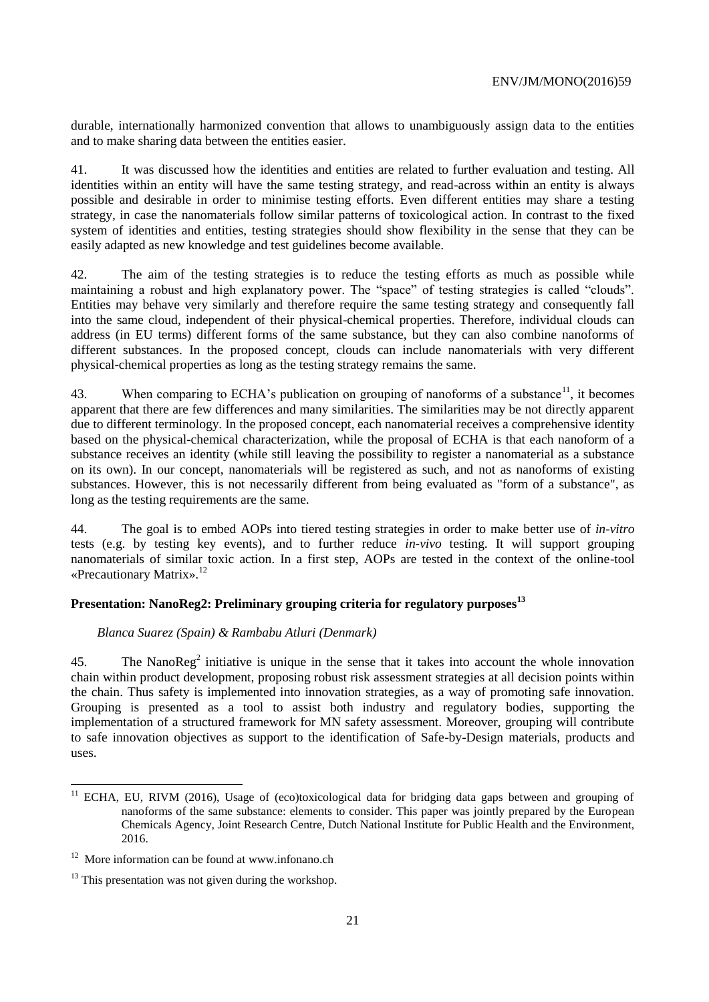durable, internationally harmonized convention that allows to unambiguously assign data to the entities and to make sharing data between the entities easier.

41. It was discussed how the identities and entities are related to further evaluation and testing. All identities within an entity will have the same testing strategy, and read-across within an entity is always possible and desirable in order to minimise testing efforts. Even different entities may share a testing strategy, in case the nanomaterials follow similar patterns of toxicological action. In contrast to the fixed system of identities and entities, testing strategies should show flexibility in the sense that they can be easily adapted as new knowledge and test guidelines become available.

42. The aim of the testing strategies is to reduce the testing efforts as much as possible while maintaining a robust and high explanatory power. The "space" of testing strategies is called "clouds". Entities may behave very similarly and therefore require the same testing strategy and consequently fall into the same cloud, independent of their physical-chemical properties. Therefore, individual clouds can address (in EU terms) different forms of the same substance, but they can also combine nanoforms of different substances. In the proposed concept, clouds can include nanomaterials with very different physical-chemical properties as long as the testing strategy remains the same.

43. When comparing to ECHA's publication on grouping of nanoforms of a substance<sup>11</sup>, it becomes apparent that there are few differences and many similarities. The similarities may be not directly apparent due to different terminology. In the proposed concept, each nanomaterial receives a comprehensive identity based on the physical-chemical characterization, while the proposal of ECHA is that each nanoform of a substance receives an identity (while still leaving the possibility to register a nanomaterial as a substance on its own). In our concept, nanomaterials will be registered as such, and not as nanoforms of existing substances. However, this is not necessarily different from being evaluated as "form of a substance", as long as the testing requirements are the same.

44. The goal is to embed AOPs into tiered testing strategies in order to make better use of *in-vitro* tests (e.g. by testing key events), and to further reduce *in-vivo* testing. It will support grouping nanomaterials of similar toxic action. In a first step, AOPs are tested in the context of the online-tool «Precautionary Matrix».<sup>12</sup>

# **Presentation: NanoReg2: Preliminary grouping criteria for regulatory purposes<sup>13</sup>**

#### *Blanca Suarez (Spain) & Rambabu Atluri (Denmark)*

45. The Nano $\text{Reg}^2$  initiative is unique in the sense that it takes into account the whole innovation chain within product development, proposing robust risk assessment strategies at all decision points within the chain. Thus safety is implemented into innovation strategies, as a way of promoting safe innovation. Grouping is presented as a tool to assist both industry and regulatory bodies, supporting the implementation of a structured framework for MN safety assessment. Moreover, grouping will contribute to safe innovation objectives as support to the identification of Safe-by-Design materials, products and uses.

l

<sup>&</sup>lt;sup>11</sup> ECHA, EU, RIVM (2016), Usage of (eco)toxicological data for bridging data gaps between and grouping of nanoforms of the same substance: elements to consider. This paper was jointly prepared by the European Chemicals Agency, Joint Research Centre, Dutch National Institute for Public Health and the Environment, 2016.

<sup>&</sup>lt;sup>12</sup> More information can be found at www.infonano.ch

 $13$  This presentation was not given during the workshop.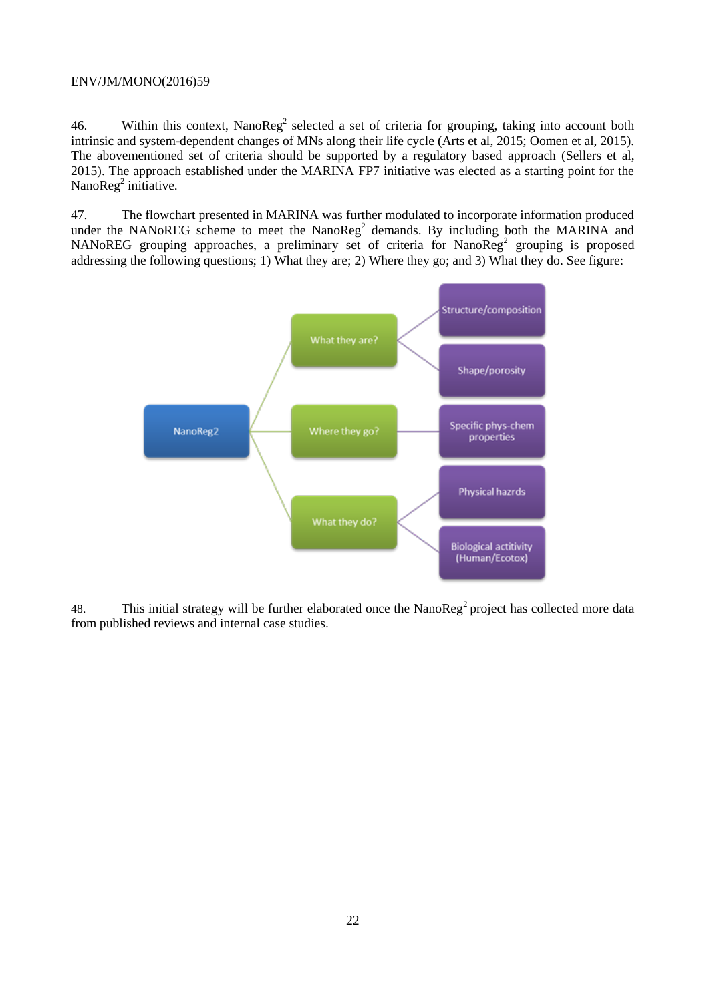46. Within this context, Nano $\text{Reg}^2$  selected a set of criteria for grouping, taking into account both intrinsic and system-dependent changes of MNs along their life cycle (Arts et al, 2015; Oomen et al, 2015). The abovementioned set of criteria should be supported by a regulatory based approach (Sellers et al, 2015). The approach established under the MARINA FP7 initiative was elected as a starting point for the NanoReg<sup>2</sup> initiative.

47. The flowchart presented in MARINA was further modulated to incorporate information produced under the NANoREG scheme to meet the NanoReg<sup>2</sup> demands. By including both the MARINA and NANoREG grouping approaches, a preliminary set of criteria for NanoReg<sup>2</sup> grouping is proposed addressing the following questions; 1) What they are; 2) Where they go; and 3) What they do. See figure:



48. This initial strategy will be further elaborated once the NanoReg<sup>2</sup> project has collected more data from published reviews and internal case studies.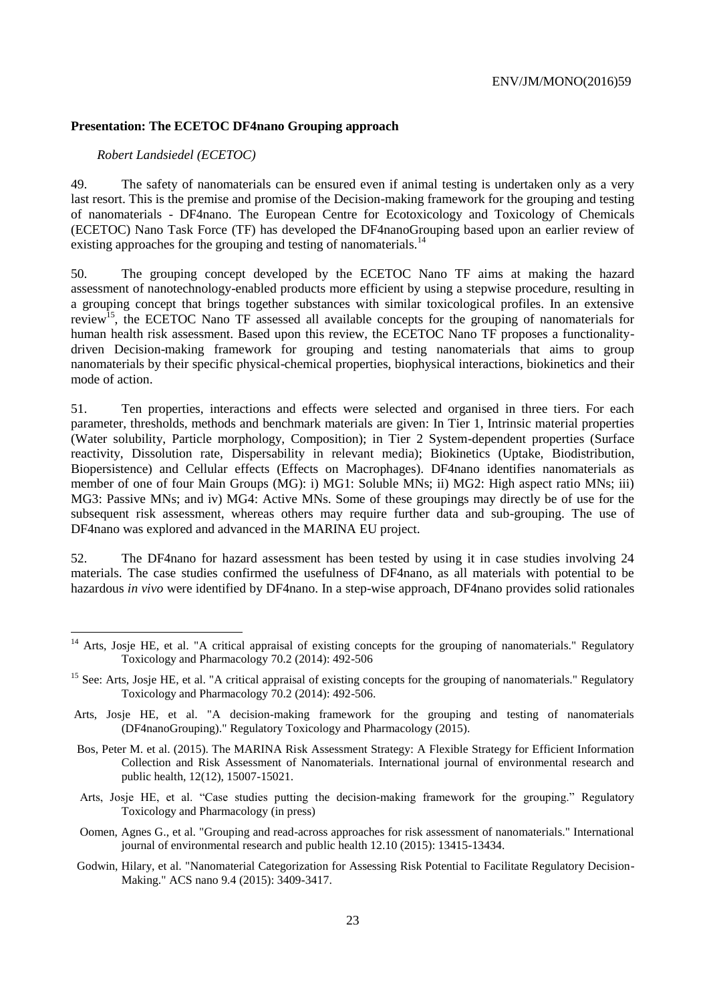#### **Presentation: The ECETOC DF4nano Grouping approach**

#### *Robert Landsiedel (ECETOC)*

l

49. The safety of nanomaterials can be ensured even if animal testing is undertaken only as a very last resort. This is the premise and promise of the Decision-making framework for the grouping and testing of nanomaterials - DF4nano. The European Centre for Ecotoxicology and Toxicology of Chemicals (ECETOC) Nano Task Force (TF) has developed the DF4nanoGrouping based upon an earlier review of existing approaches for the grouping and testing of nanomaterials.<sup>14</sup>

50. The grouping concept developed by the ECETOC Nano TF aims at making the hazard assessment of nanotechnology-enabled products more efficient by using a stepwise procedure, resulting in a grouping concept that brings together substances with similar toxicological profiles. In an extensive review<sup>15</sup>, the ECETOC Nano TF assessed all available concepts for the grouping of nanomaterials for human health risk assessment. Based upon this review, the ECETOC Nano TF proposes a functionalitydriven Decision-making framework for grouping and testing nanomaterials that aims to group nanomaterials by their specific physical-chemical properties, biophysical interactions, biokinetics and their mode of action.

51. Ten properties, interactions and effects were selected and organised in three tiers. For each parameter, thresholds, methods and benchmark materials are given: In Tier 1, Intrinsic material properties (Water solubility, Particle morphology, Composition); in Tier 2 System-dependent properties (Surface reactivity, Dissolution rate, Dispersability in relevant media); Biokinetics (Uptake, Biodistribution, Biopersistence) and Cellular effects (Effects on Macrophages). DF4nano identifies nanomaterials as member of one of four Main Groups (MG): i) MG1: Soluble MNs; ii) MG2: High aspect ratio MNs; iii) MG3: Passive MNs; and iv) MG4: Active MNs. Some of these groupings may directly be of use for the subsequent risk assessment, whereas others may require further data and sub-grouping. The use of DF4nano was explored and advanced in the MARINA EU project.

52. The DF4nano for hazard assessment has been tested by using it in case studies involving 24 materials. The case studies confirmed the usefulness of DF4nano, as all materials with potential to be hazardous *in vivo* were identified by DF4nano. In a step-wise approach, DF4nano provides solid rationales

- Arts, Josje HE, et al. "A decision-making framework for the grouping and testing of nanomaterials (DF4nanoGrouping)." Regulatory Toxicology and Pharmacology (2015).
- Bos, Peter M. et al. (2015). The MARINA Risk Assessment Strategy: A Flexible Strategy for Efficient Information Collection and Risk Assessment of Nanomaterials. International journal of environmental research and public health, 12(12), 15007-15021.
- Arts, Josje HE, et al. "Case studies putting the decision-making framework for the grouping." Regulatory Toxicology and Pharmacology (in press)
- Oomen, Agnes G., et al. "Grouping and read-across approaches for risk assessment of nanomaterials." International journal of environmental research and public health 12.10 (2015): 13415-13434.
- Godwin, Hilary, et al. "Nanomaterial Categorization for Assessing Risk Potential to Facilitate Regulatory Decision-Making." ACS nano 9.4 (2015): 3409-3417.

<sup>&</sup>lt;sup>14</sup> Arts, Josje HE, et al. "A critical appraisal of existing concepts for the grouping of nanomaterials." Regulatory Toxicology and Pharmacology 70.2 (2014): 492-506

<sup>&</sup>lt;sup>15</sup> See: Arts, Josje HE, et al. "A critical appraisal of existing concepts for the grouping of nanomaterials." Regulatory Toxicology and Pharmacology 70.2 (2014): 492-506.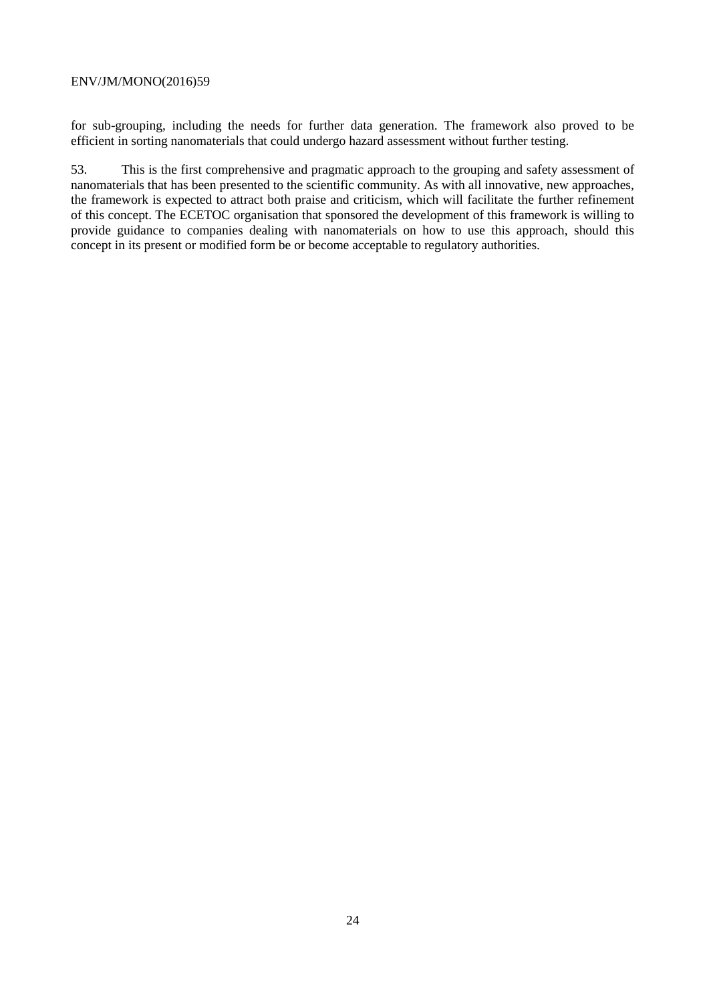for sub-grouping, including the needs for further data generation. The framework also proved to be efficient in sorting nanomaterials that could undergo hazard assessment without further testing.

53. This is the first comprehensive and pragmatic approach to the grouping and safety assessment of nanomaterials that has been presented to the scientific community. As with all innovative, new approaches, the framework is expected to attract both praise and criticism, which will facilitate the further refinement of this concept. The ECETOC organisation that sponsored the development of this framework is willing to provide guidance to companies dealing with nanomaterials on how to use this approach, should this concept in its present or modified form be or become acceptable to regulatory authorities.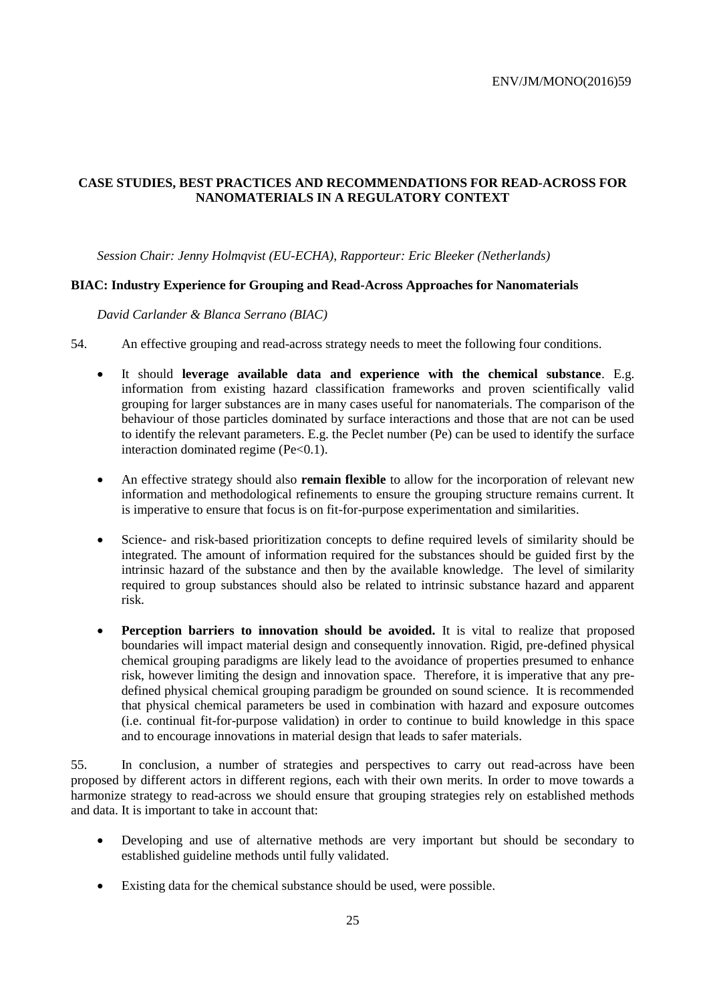# **CASE STUDIES, BEST PRACTICES AND RECOMMENDATIONS FOR READ-ACROSS FOR NANOMATERIALS IN A REGULATORY CONTEXT**

*Session Chair: Jenny Holmqvist (EU-ECHA), Rapporteur: Eric Bleeker (Netherlands)*

#### **BIAC: Industry Experience for Grouping and Read-Across Approaches for Nanomaterials**

*David Carlander & Blanca Serrano (BIAC)*

- 54. An effective grouping and read-across strategy needs to meet the following four conditions.
	- It should **leverage available data and experience with the chemical substance**. E.g. information from existing hazard classification frameworks and proven scientifically valid grouping for larger substances are in many cases useful for nanomaterials. The comparison of the behaviour of those particles dominated by surface interactions and those that are not can be used to identify the relevant parameters. E.g. the Peclet number (Pe) can be used to identify the surface interaction dominated regime  $(Pe< 0.1)$ .
	- An effective strategy should also **remain flexible** to allow for the incorporation of relevant new information and methodological refinements to ensure the grouping structure remains current. It is imperative to ensure that focus is on fit-for-purpose experimentation and similarities.
	- Science- and risk-based prioritization concepts to define required levels of similarity should be integrated. The amount of information required for the substances should be guided first by the intrinsic hazard of the substance and then by the available knowledge. The level of similarity required to group substances should also be related to intrinsic substance hazard and apparent risk.
	- **Perception barriers to innovation should be avoided.** It is vital to realize that proposed boundaries will impact material design and consequently innovation. Rigid, pre-defined physical chemical grouping paradigms are likely lead to the avoidance of properties presumed to enhance risk, however limiting the design and innovation space. Therefore, it is imperative that any predefined physical chemical grouping paradigm be grounded on sound science. It is recommended that physical chemical parameters be used in combination with hazard and exposure outcomes (i.e. continual fit-for-purpose validation) in order to continue to build knowledge in this space and to encourage innovations in material design that leads to safer materials.

55. In conclusion, a number of strategies and perspectives to carry out read-across have been proposed by different actors in different regions, each with their own merits. In order to move towards a harmonize strategy to read-across we should ensure that grouping strategies rely on established methods and data. It is important to take in account that:

- Developing and use of alternative methods are very important but should be secondary to established guideline methods until fully validated.
- Existing data for the chemical substance should be used, were possible.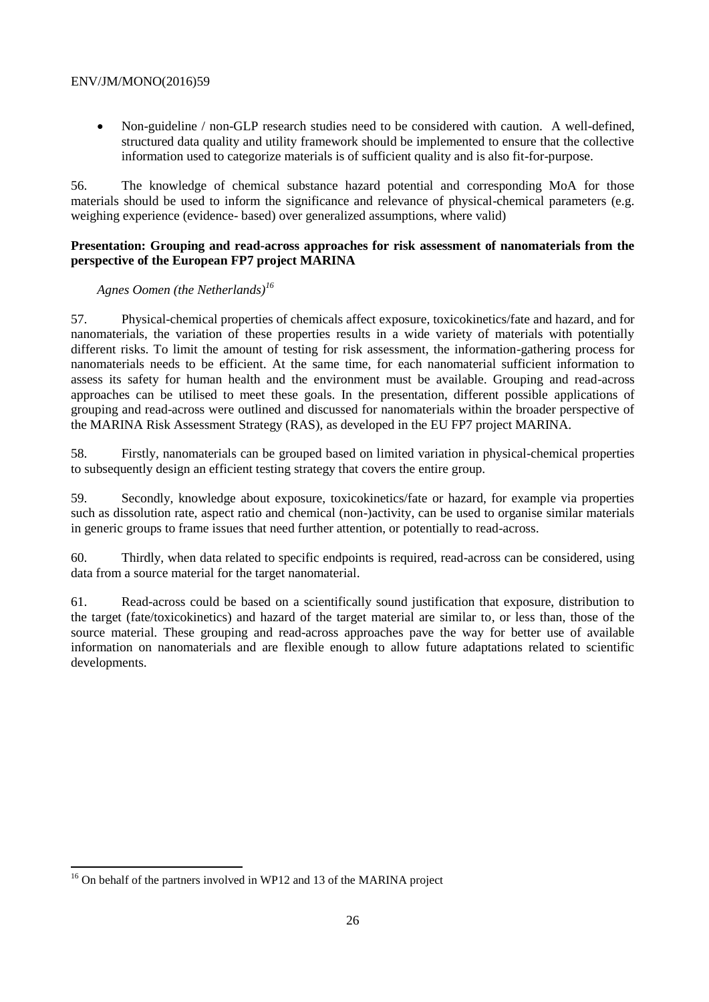• Non-guideline / non-GLP research studies need to be considered with caution. A well-defined, structured data quality and utility framework should be implemented to ensure that the collective information used to categorize materials is of sufficient quality and is also fit-for-purpose.

56. The knowledge of chemical substance hazard potential and corresponding MoA for those materials should be used to inform the significance and relevance of physical-chemical parameters (e.g. weighing experience (evidence- based) over generalized assumptions, where valid)

# **Presentation: Grouping and read-across approaches for risk assessment of nanomaterials from the perspective of the European FP7 project MARINA**

# *Agnes Oomen (the Netherlands)<sup>16</sup>*

57. Physical-chemical properties of chemicals affect exposure, toxicokinetics/fate and hazard, and for nanomaterials, the variation of these properties results in a wide variety of materials with potentially different risks. To limit the amount of testing for risk assessment, the information-gathering process for nanomaterials needs to be efficient. At the same time, for each nanomaterial sufficient information to assess its safety for human health and the environment must be available. Grouping and read-across approaches can be utilised to meet these goals. In the presentation, different possible applications of grouping and read-across were outlined and discussed for nanomaterials within the broader perspective of the MARINA Risk Assessment Strategy (RAS), as developed in the EU FP7 project MARINA.

58. Firstly, nanomaterials can be grouped based on limited variation in physical-chemical properties to subsequently design an efficient testing strategy that covers the entire group.

59. Secondly, knowledge about exposure, toxicokinetics/fate or hazard, for example via properties such as dissolution rate, aspect ratio and chemical (non-)activity, can be used to organise similar materials in generic groups to frame issues that need further attention, or potentially to read-across.

60. Thirdly, when data related to specific endpoints is required, read-across can be considered, using data from a source material for the target nanomaterial.

61. Read-across could be based on a scientifically sound justification that exposure, distribution to the target (fate/toxicokinetics) and hazard of the target material are similar to, or less than, those of the source material. These grouping and read-across approaches pave the way for better use of available information on nanomaterials and are flexible enough to allow future adaptations related to scientific developments.

 $\overline{a}$ 

<sup>&</sup>lt;sup>16</sup> On behalf of the partners involved in WP12 and 13 of the MARINA project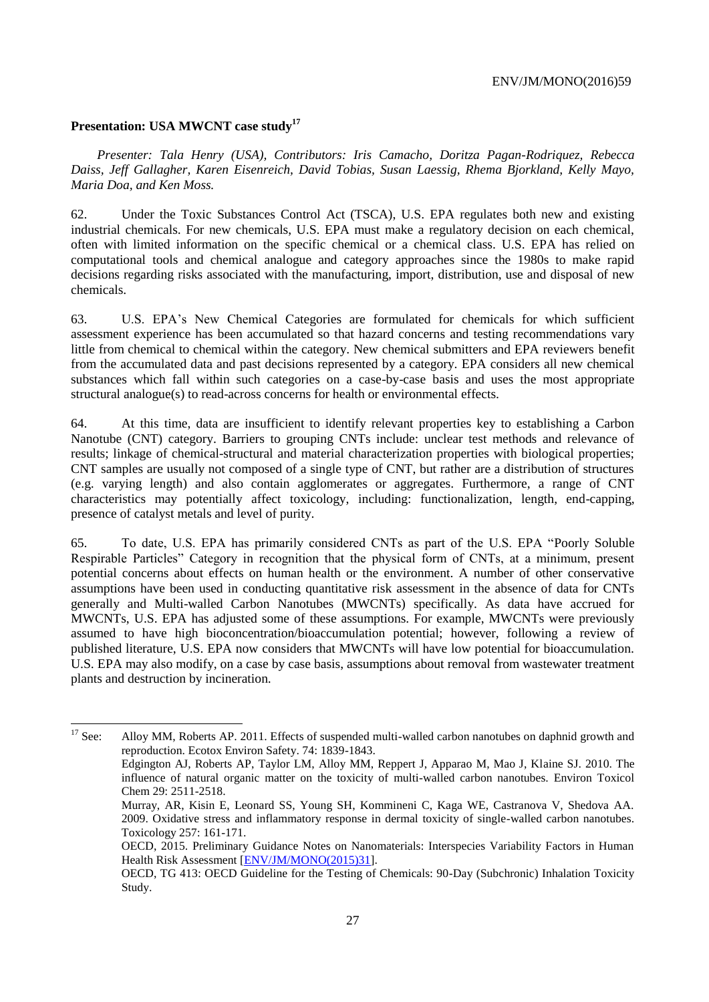#### **Presentation: USA MWCNT case study<sup>17</sup>**

*Presenter: Tala Henry (USA), Contributors: Iris Camacho, Doritza Pagan-Rodriquez, Rebecca Daiss, Jeff Gallagher, Karen Eisenreich, David Tobias, Susan Laessig, Rhema Bjorkland, Kelly Mayo, Maria Doa, and Ken Moss.*

62. Under the Toxic Substances Control Act (TSCA), U.S. EPA regulates both new and existing industrial chemicals. For new chemicals, U.S. EPA must make a regulatory decision on each chemical, often with limited information on the specific chemical or a chemical class. U.S. EPA has relied on computational tools and chemical analogue and category approaches since the 1980s to make rapid decisions regarding risks associated with the manufacturing, import, distribution, use and disposal of new chemicals.

63. U.S. EPA's New Chemical Categories are formulated for chemicals for which sufficient assessment experience has been accumulated so that hazard concerns and testing recommendations vary little from chemical to chemical within the category. New chemical submitters and EPA reviewers benefit from the accumulated data and past decisions represented by a category. EPA considers all new chemical substances which fall within such categories on a case-by-case basis and uses the most appropriate structural analogue(s) to read-across concerns for health or environmental effects.

64. At this time, data are insufficient to identify relevant properties key to establishing a Carbon Nanotube (CNT) category. Barriers to grouping CNTs include: unclear test methods and relevance of results; linkage of chemical-structural and material characterization properties with biological properties; CNT samples are usually not composed of a single type of CNT, but rather are a distribution of structures (e.g. varying length) and also contain agglomerates or aggregates. Furthermore, a range of CNT characteristics may potentially affect toxicology, including: functionalization, length, end-capping, presence of catalyst metals and level of purity.

65. To date, U.S. EPA has primarily considered CNTs as part of the U.S. EPA "Poorly Soluble Respirable Particles" Category in recognition that the physical form of CNTs, at a minimum, present potential concerns about effects on human health or the environment. A number of other conservative assumptions have been used in conducting quantitative risk assessment in the absence of data for CNTs generally and Multi-walled Carbon Nanotubes (MWCNTs) specifically. As data have accrued for MWCNTs, U.S. EPA has adjusted some of these assumptions. For example, MWCNTs were previously assumed to have high bioconcentration/bioaccumulation potential; however, following a review of published literature, U.S. EPA now considers that MWCNTs will have low potential for bioaccumulation. U.S. EPA may also modify, on a case by case basis, assumptions about removal from wastewater treatment plants and destruction by incineration.

 $17$  See: Alloy MM, Roberts AP. 2011. Effects of suspended multi-walled carbon nanotubes on daphnid growth and reproduction. Ecotox Environ Safety. 74: 1839-1843.

Edgington AJ, Roberts AP, Taylor LM, Alloy MM, Reppert J, Apparao M, Mao J, Klaine SJ. 2010. The influence of natural organic matter on the toxicity of multi-walled carbon nanotubes. Environ Toxicol Chem 29: 2511-2518.

Murray, AR, Kisin E, Leonard SS, Young SH, Kommineni C, Kaga WE, Castranova V, Shedova AA. 2009. Oxidative stress and inflammatory response in dermal toxicity of single-walled carbon nanotubes. Toxicology 257: 161-171.

OECD, 2015. Preliminary Guidance Notes on Nanomaterials: Interspecies Variability Factors in Human Health Risk Assessment [\[ENV/JM/MONO\(2015\)31\]](http://www2.oecd.org/oecdinfo/info.aspx?app=OLIScoteEN&Ref=ENV/JM/MONO(2015)31).

OECD, TG 413: OECD Guideline for the Testing of Chemicals: 90-Day (Subchronic) Inhalation Toxicity Study.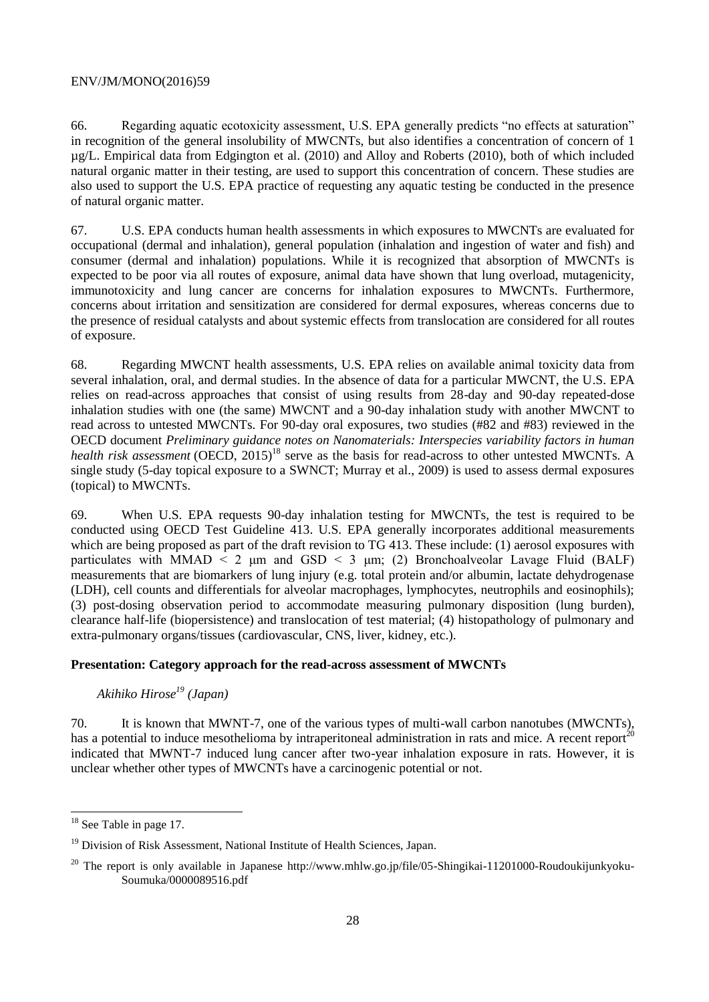66. Regarding aquatic ecotoxicity assessment, U.S. EPA generally predicts "no effects at saturation" in recognition of the general insolubility of MWCNTs, but also identifies a concentration of concern of 1 µg/L. Empirical data from Edgington et al. (2010) and Alloy and Roberts (2010), both of which included natural organic matter in their testing, are used to support this concentration of concern. These studies are also used to support the U.S. EPA practice of requesting any aquatic testing be conducted in the presence of natural organic matter.

67. U.S. EPA conducts human health assessments in which exposures to MWCNTs are evaluated for occupational (dermal and inhalation), general population (inhalation and ingestion of water and fish) and consumer (dermal and inhalation) populations. While it is recognized that absorption of MWCNTs is expected to be poor via all routes of exposure, animal data have shown that lung overload, mutagenicity, immunotoxicity and lung cancer are concerns for inhalation exposures to MWCNTs. Furthermore, concerns about irritation and sensitization are considered for dermal exposures, whereas concerns due to the presence of residual catalysts and about systemic effects from translocation are considered for all routes of exposure.

68. Regarding MWCNT health assessments, U.S. EPA relies on available animal toxicity data from several inhalation, oral, and dermal studies. In the absence of data for a particular MWCNT, the U.S. EPA relies on read-across approaches that consist of using results from 28-day and 90-day repeated-dose inhalation studies with one (the same) MWCNT and a 90-day inhalation study with another MWCNT to read across to untested MWCNTs. For 90-day oral exposures, two studies (#82 and #83) reviewed in the OECD document *Preliminary guidance notes on Nanomaterials: Interspecies variability factors in human health risk assessment* (OECD, 2015)<sup>18</sup> serve as the basis for read-across to other untested MWCNTs. A single study (5-day topical exposure to a SWNCT; Murray et al., 2009) is used to assess dermal exposures (topical) to MWCNTs.

69. When U.S. EPA requests 90-day inhalation testing for MWCNTs, the test is required to be conducted using OECD Test Guideline 413. U.S. EPA generally incorporates additional measurements which are being proposed as part of the draft revision to TG 413. These include: (1) aerosol exposures with particulates with MMAD  $\leq$  2  $\mu$ m and GSD  $\leq$  3  $\mu$ m; (2) Bronchoalveolar Lavage Fluid (BALF) measurements that are biomarkers of lung injury (e.g. total protein and/or albumin, lactate dehydrogenase (LDH), cell counts and differentials for alveolar macrophages, lymphocytes, neutrophils and eosinophils); (3) post-dosing observation period to accommodate measuring pulmonary disposition (lung burden), clearance half-life (biopersistence) and translocation of test material; (4) histopathology of pulmonary and extra-pulmonary organs/tissues (cardiovascular, CNS, liver, kidney, etc.).

# **Presentation: Category approach for the read-across assessment of MWCNTs**

# *Akihiko Hirose<sup>19</sup> (Japan)*

70. It is known that MWNT-7, one of the various types of multi-wall carbon nanotubes (MWCNTs), has a potential to induce mesothelioma by intraperitoneal administration in rats and mice. A recent report<sup>20</sup> indicated that MWNT-7 induced lung cancer after two-year inhalation exposure in rats. However, it is unclear whether other types of MWCNTs have a carcinogenic potential or not.

 $\overline{a}$ 

<sup>&</sup>lt;sup>18</sup> See Table in page 17.

<sup>&</sup>lt;sup>19</sup> Division of Risk Assessment, National Institute of Health Sciences, Japan.

<sup>&</sup>lt;sup>20</sup> The report is only available in Japanese http://www.mhlw.go.jp/file/05-Shingikai-11201000-Roudoukijunkyoku-Soumuka/0000089516.pdf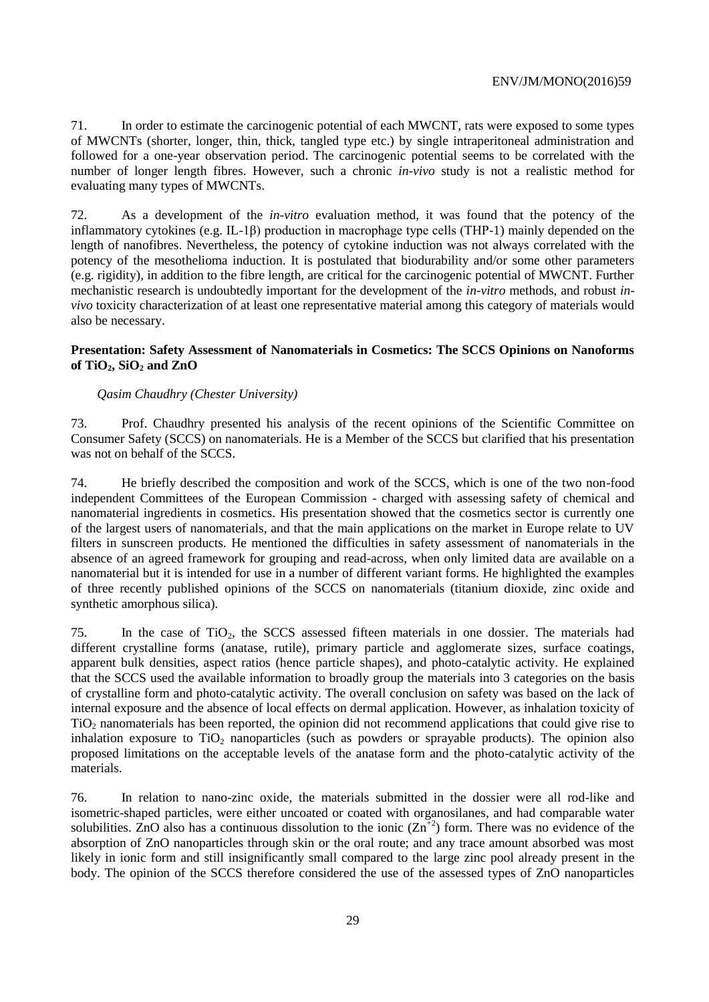71. In order to estimate the carcinogenic potential of each MWCNT, rats were exposed to some types of MWCNTs (shorter, longer, thin, thick, tangled type etc.) by single intraperitoneal administration and followed for a one-year observation period. The carcinogenic potential seems to be correlated with the number of longer length fibres. However, such a chronic *in-vivo* study is not a realistic method for evaluating many types of MWCNTs.

72. As a development of the *in-vitro* evaluation method, it was found that the potency of the inflammatory cytokines (e.g. IL-1β) production in macrophage type cells (THP-1) mainly depended on the length of nanofibres. Nevertheless, the potency of cytokine induction was not always correlated with the potency of the mesothelioma induction. It is postulated that biodurability and/or some other parameters (e.g. rigidity), in addition to the fibre length, are critical for the carcinogenic potential of MWCNT. Further mechanistic research is undoubtedly important for the development of the *in-vitro* methods, and robust *invivo* toxicity characterization of at least one representative material among this category of materials would also be necessary.

# **Presentation: Safety Assessment of Nanomaterials in Cosmetics: The SCCS Opinions on Nanoforms of TiO2, SiO<sup>2</sup> and ZnO**

# *Qasim Chaudhry (Chester University)*

73. Prof. Chaudhry presented his analysis of the recent opinions of the Scientific Committee on Consumer Safety (SCCS) on nanomaterials. He is a Member of the SCCS but clarified that his presentation was not on behalf of the SCCS.

74. He briefly described the composition and work of the SCCS, which is one of the two non-food independent Committees of the European Commission - charged with assessing safety of chemical and nanomaterial ingredients in cosmetics. His presentation showed that the cosmetics sector is currently one of the largest users of nanomaterials, and that the main applications on the market in Europe relate to UV filters in sunscreen products. He mentioned the difficulties in safety assessment of nanomaterials in the absence of an agreed framework for grouping and read-across, when only limited data are available on a nanomaterial but it is intended for use in a number of different variant forms. He highlighted the examples of three recently published opinions of the SCCS on nanomaterials (titanium dioxide, zinc oxide and synthetic amorphous silica).

75. In the case of TiO2, the SCCS assessed fifteen materials in one dossier. The materials had different crystalline forms (anatase, rutile), primary particle and agglomerate sizes, surface coatings, apparent bulk densities, aspect ratios (hence particle shapes), and photo-catalytic activity. He explained that the SCCS used the available information to broadly group the materials into 3 categories on the basis of crystalline form and photo-catalytic activity. The overall conclusion on safety was based on the lack of internal exposure and the absence of local effects on dermal application. However, as inhalation toxicity of TiO<sup>2</sup> nanomaterials has been reported, the opinion did not recommend applications that could give rise to inhalation exposure to  $TiO<sub>2</sub>$  nanoparticles (such as powders or sprayable products). The opinion also proposed limitations on the acceptable levels of the anatase form and the photo-catalytic activity of the materials.

76. In relation to nano-zinc oxide, the materials submitted in the dossier were all rod-like and isometric-shaped particles, were either uncoated or coated with organosilanes, and had comparable water solubilities. ZnO also has a continuous dissolution to the ionic  $(Zn<sup>+2</sup>)$  form. There was no evidence of the absorption of ZnO nanoparticles through skin or the oral route; and any trace amount absorbed was most likely in ionic form and still insignificantly small compared to the large zinc pool already present in the body. The opinion of the SCCS therefore considered the use of the assessed types of ZnO nanoparticles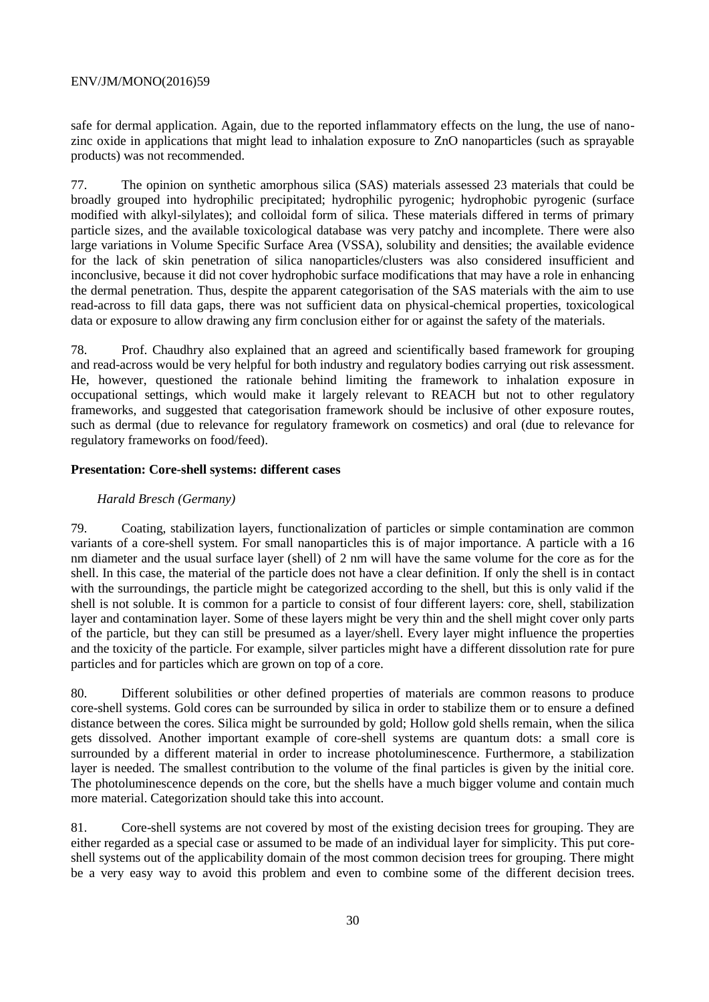safe for dermal application. Again, due to the reported inflammatory effects on the lung, the use of nanozinc oxide in applications that might lead to inhalation exposure to ZnO nanoparticles (such as sprayable products) was not recommended.

77. The opinion on synthetic amorphous silica (SAS) materials assessed 23 materials that could be broadly grouped into hydrophilic precipitated; hydrophilic pyrogenic; hydrophobic pyrogenic (surface modified with alkyl-silylates); and colloidal form of silica. These materials differed in terms of primary particle sizes, and the available toxicological database was very patchy and incomplete. There were also large variations in Volume Specific Surface Area (VSSA), solubility and densities; the available evidence for the lack of skin penetration of silica nanoparticles/clusters was also considered insufficient and inconclusive, because it did not cover hydrophobic surface modifications that may have a role in enhancing the dermal penetration. Thus, despite the apparent categorisation of the SAS materials with the aim to use read-across to fill data gaps, there was not sufficient data on physical-chemical properties, toxicological data or exposure to allow drawing any firm conclusion either for or against the safety of the materials.

78. Prof. Chaudhry also explained that an agreed and scientifically based framework for grouping and read-across would be very helpful for both industry and regulatory bodies carrying out risk assessment. He, however, questioned the rationale behind limiting the framework to inhalation exposure in occupational settings, which would make it largely relevant to REACH but not to other regulatory frameworks, and suggested that categorisation framework should be inclusive of other exposure routes, such as dermal (due to relevance for regulatory framework on cosmetics) and oral (due to relevance for regulatory frameworks on food/feed).

# **Presentation: Core-shell systems: different cases**

#### *Harald Bresch (Germany)*

79. Coating, stabilization layers, functionalization of particles or simple contamination are common variants of a core-shell system. For small nanoparticles this is of major importance. A particle with a 16 nm diameter and the usual surface layer (shell) of 2 nm will have the same volume for the core as for the shell. In this case, the material of the particle does not have a clear definition. If only the shell is in contact with the surroundings, the particle might be categorized according to the shell, but this is only valid if the shell is not soluble. It is common for a particle to consist of four different layers: core, shell, stabilization layer and contamination layer. Some of these layers might be very thin and the shell might cover only parts of the particle, but they can still be presumed as a layer/shell. Every layer might influence the properties and the toxicity of the particle. For example, silver particles might have a different dissolution rate for pure particles and for particles which are grown on top of a core.

80. Different solubilities or other defined properties of materials are common reasons to produce core-shell systems. Gold cores can be surrounded by silica in order to stabilize them or to ensure a defined distance between the cores. Silica might be surrounded by gold; Hollow gold shells remain, when the silica gets dissolved. Another important example of core-shell systems are quantum dots: a small core is surrounded by a different material in order to increase photoluminescence. Furthermore, a stabilization layer is needed. The smallest contribution to the volume of the final particles is given by the initial core. The photoluminescence depends on the core, but the shells have a much bigger volume and contain much more material. Categorization should take this into account.

81. Core-shell systems are not covered by most of the existing decision trees for grouping. They are either regarded as a special case or assumed to be made of an individual layer for simplicity. This put coreshell systems out of the applicability domain of the most common decision trees for grouping. There might be a very easy way to avoid this problem and even to combine some of the different decision trees.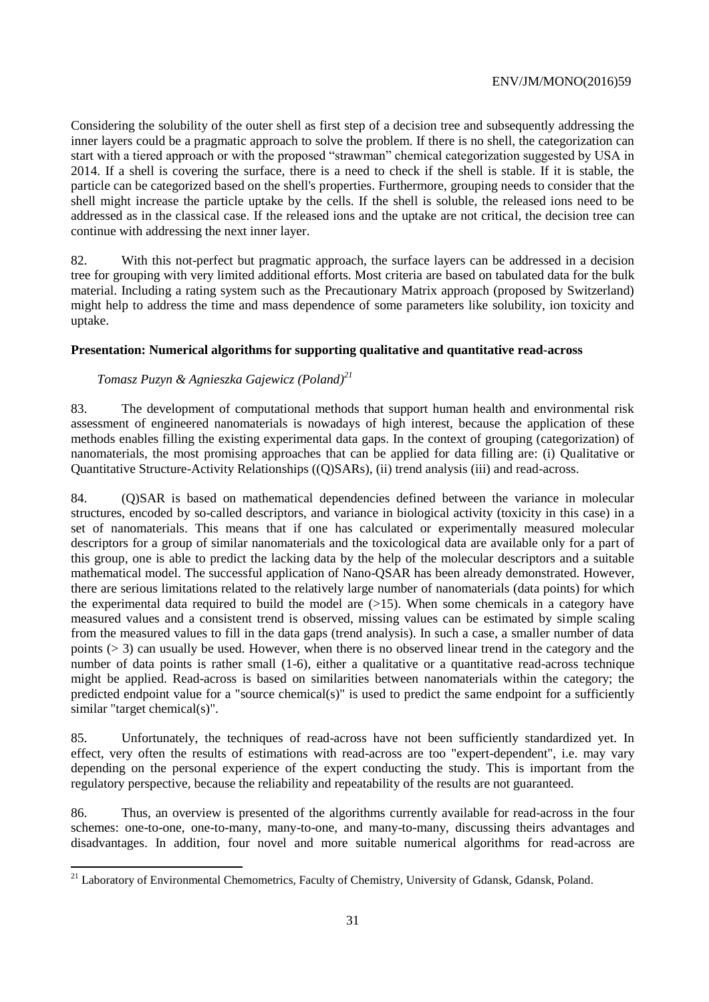Considering the solubility of the outer shell as first step of a decision tree and subsequently addressing the inner layers could be a pragmatic approach to solve the problem. If there is no shell, the categorization can start with a tiered approach or with the proposed "strawman" chemical categorization suggested by USA in 2014. If a shell is covering the surface, there is a need to check if the shell is stable. If it is stable, the particle can be categorized based on the shell's properties. Furthermore, grouping needs to consider that the shell might increase the particle uptake by the cells. If the shell is soluble, the released ions need to be addressed as in the classical case. If the released ions and the uptake are not critical, the decision tree can continue with addressing the next inner layer.

82. With this not-perfect but pragmatic approach, the surface layers can be addressed in a decision tree for grouping with very limited additional efforts. Most criteria are based on tabulated data for the bulk material. Including a rating system such as the Precautionary Matrix approach (proposed by Switzerland) might help to address the time and mass dependence of some parameters like solubility, ion toxicity and uptake.

#### **Presentation: Numerical algorithms for supporting qualitative and quantitative read-across**

# *Tomasz Puzyn & Agnieszka Gajewicz (Poland)<sup>21</sup>*

 $\overline{a}$ 

83. The development of computational methods that support human health and environmental risk assessment of engineered nanomaterials is nowadays of high interest, because the application of these methods enables filling the existing experimental data gaps. In the context of grouping (categorization) of nanomaterials, the most promising approaches that can be applied for data filling are: (i) Qualitative or Quantitative Structure-Activity Relationships ((Q)SARs), (ii) trend analysis (iii) and read-across.

84. (Q)SAR is based on mathematical dependencies defined between the variance in molecular structures, encoded by so-called descriptors, and variance in biological activity (toxicity in this case) in a set of nanomaterials. This means that if one has calculated or experimentally measured molecular descriptors for a group of similar nanomaterials and the toxicological data are available only for a part of this group, one is able to predict the lacking data by the help of the molecular descriptors and a suitable mathematical model. The successful application of Nano-QSAR has been already demonstrated. However, there are serious limitations related to the relatively large number of nanomaterials (data points) for which the experimental data required to build the model are  $(>15)$ . When some chemicals in a category have measured values and a consistent trend is observed, missing values can be estimated by simple scaling from the measured values to fill in the data gaps (trend analysis). In such a case, a smaller number of data points (> 3) can usually be used. However, when there is no observed linear trend in the category and the number of data points is rather small (1-6), either a qualitative or a quantitative read-across technique might be applied. Read-across is based on similarities between nanomaterials within the category; the predicted endpoint value for a "source chemical(s)" is used to predict the same endpoint for a sufficiently similar "target chemical(s)".

85. Unfortunately, the techniques of read-across have not been sufficiently standardized yet. In effect, very often the results of estimations with read-across are too "expert-dependent", i.e. may vary depending on the personal experience of the expert conducting the study. This is important from the regulatory perspective, because the reliability and repeatability of the results are not guaranteed.

86. Thus, an overview is presented of the algorithms currently available for read-across in the four schemes: one-to-one, one-to-many, many-to-one, and many-to-many, discussing theirs advantages and disadvantages. In addition, four novel and more suitable numerical algorithms for read-across are

<sup>&</sup>lt;sup>21</sup> Laboratory of Environmental Chemometrics, Faculty of Chemistry, University of Gdansk, Gdansk, Poland.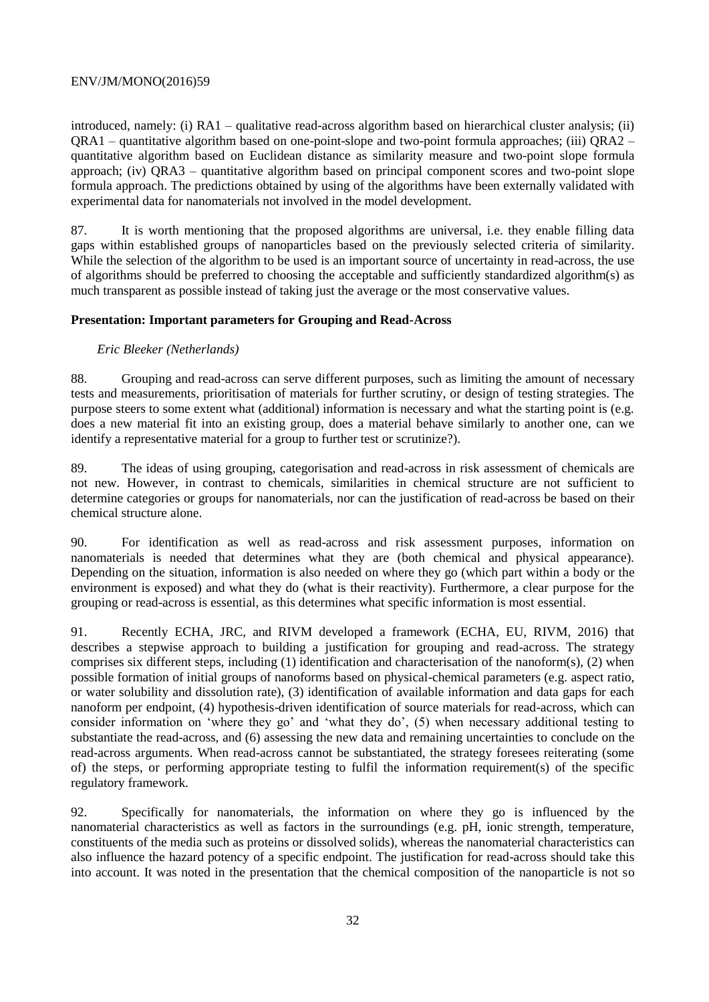introduced, namely: (i) RA1 – qualitative read-across algorithm based on hierarchical cluster analysis; (ii)  $ORA1$  – quantitative algorithm based on one-point-slope and two-point formula approaches; (iii)  $ORA2$  – quantitative algorithm based on Euclidean distance as similarity measure and two-point slope formula approach; (iv) QRA3 – quantitative algorithm based on principal component scores and two-point slope formula approach. The predictions obtained by using of the algorithms have been externally validated with experimental data for nanomaterials not involved in the model development.

87. It is worth mentioning that the proposed algorithms are universal, i.e. they enable filling data gaps within established groups of nanoparticles based on the previously selected criteria of similarity. While the selection of the algorithm to be used is an important source of uncertainty in read-across, the use of algorithms should be preferred to choosing the acceptable and sufficiently standardized algorithm(s) as much transparent as possible instead of taking just the average or the most conservative values.

# **Presentation: Important parameters for Grouping and Read-Across**

#### *Eric Bleeker (Netherlands)*

88. Grouping and read-across can serve different purposes, such as limiting the amount of necessary tests and measurements, prioritisation of materials for further scrutiny, or design of testing strategies. The purpose steers to some extent what (additional) information is necessary and what the starting point is (e.g. does a new material fit into an existing group, does a material behave similarly to another one, can we identify a representative material for a group to further test or scrutinize?).

89. The ideas of using grouping, categorisation and read-across in risk assessment of chemicals are not new. However, in contrast to chemicals, similarities in chemical structure are not sufficient to determine categories or groups for nanomaterials, nor can the justification of read-across be based on their chemical structure alone.

90. For identification as well as read-across and risk assessment purposes, information on nanomaterials is needed that determines what they are (both chemical and physical appearance). Depending on the situation, information is also needed on where they go (which part within a body or the environment is exposed) and what they do (what is their reactivity). Furthermore, a clear purpose for the grouping or read-across is essential, as this determines what specific information is most essential.

91. Recently ECHA, JRC, and RIVM developed a framework (ECHA, EU, RIVM, 2016) that describes a stepwise approach to building a justification for grouping and read-across. The strategy comprises six different steps, including (1) identification and characterisation of the nanoform(s), (2) when possible formation of initial groups of nanoforms based on physical-chemical parameters (e.g. aspect ratio, or water solubility and dissolution rate), (3) identification of available information and data gaps for each nanoform per endpoint, (4) hypothesis-driven identification of source materials for read-across, which can consider information on 'where they go' and 'what they do', (5) when necessary additional testing to substantiate the read-across, and (6) assessing the new data and remaining uncertainties to conclude on the read-across arguments. When read-across cannot be substantiated, the strategy foresees reiterating (some of) the steps, or performing appropriate testing to fulfil the information requirement(s) of the specific regulatory framework.

92. Specifically for nanomaterials, the information on where they go is influenced by the nanomaterial characteristics as well as factors in the surroundings (e.g. pH, ionic strength, temperature, constituents of the media such as proteins or dissolved solids), whereas the nanomaterial characteristics can also influence the hazard potency of a specific endpoint. The justification for read-across should take this into account. It was noted in the presentation that the chemical composition of the nanoparticle is not so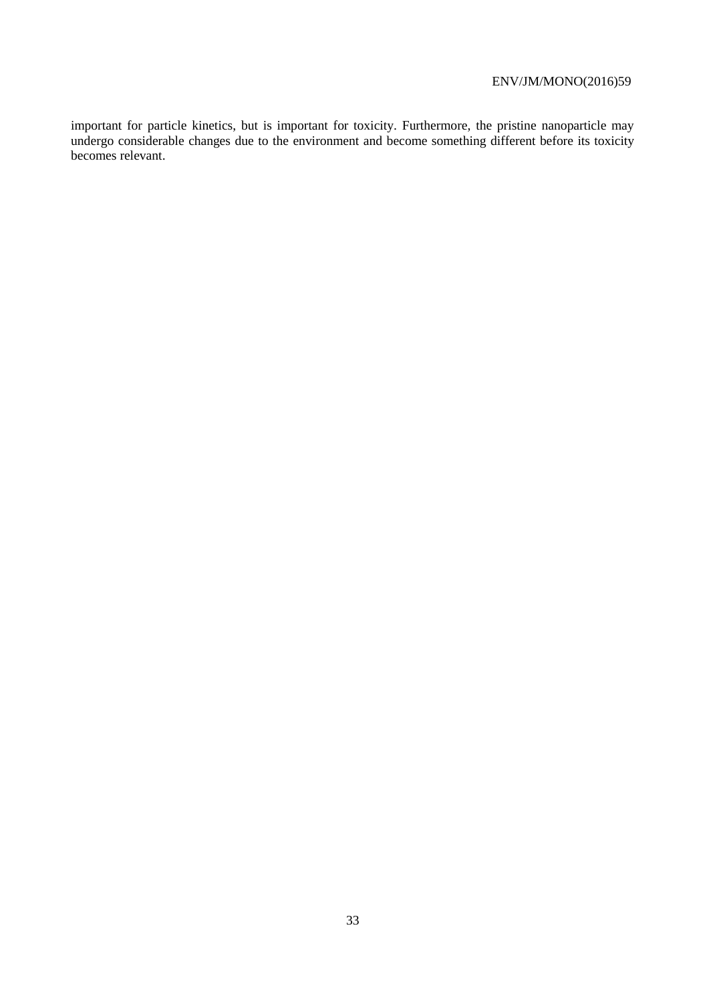important for particle kinetics, but is important for toxicity. Furthermore, the pristine nanoparticle may undergo considerable changes due to the environment and become something different before its toxicity becomes relevant.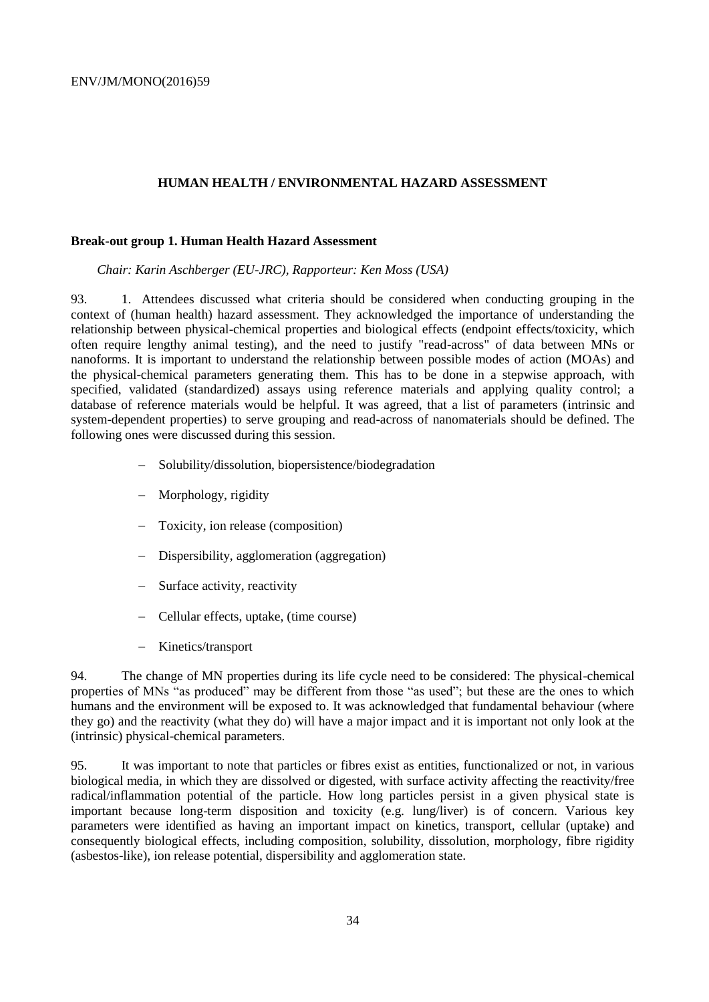#### **HUMAN HEALTH / ENVIRONMENTAL HAZARD ASSESSMENT**

#### **Break-out group 1. Human Health Hazard Assessment**

*Chair: Karin Aschberger (EU-JRC), Rapporteur: Ken Moss (USA)*

93. 1. Attendees discussed what criteria should be considered when conducting grouping in the context of (human health) hazard assessment. They acknowledged the importance of understanding the relationship between physical-chemical properties and biological effects (endpoint effects/toxicity, which often require lengthy animal testing), and the need to justify "read-across" of data between MNs or nanoforms. It is important to understand the relationship between possible modes of action (MOAs) and the physical-chemical parameters generating them. This has to be done in a stepwise approach, with specified, validated (standardized) assays using reference materials and applying quality control; a database of reference materials would be helpful. It was agreed, that a list of parameters (intrinsic and system-dependent properties) to serve grouping and read-across of nanomaterials should be defined. The following ones were discussed during this session.

- Solubility/dissolution, biopersistence/biodegradation
- Morphology, rigidity
- Toxicity, ion release (composition)
- Dispersibility, agglomeration (aggregation)
- Surface activity, reactivity
- Cellular effects, uptake, (time course)
- Kinetics/transport

94. The change of MN properties during its life cycle need to be considered: The physical-chemical properties of MNs "as produced" may be different from those "as used"; but these are the ones to which humans and the environment will be exposed to. It was acknowledged that fundamental behaviour (where they go) and the reactivity (what they do) will have a major impact and it is important not only look at the (intrinsic) physical-chemical parameters.

95. It was important to note that particles or fibres exist as entities, functionalized or not, in various biological media, in which they are dissolved or digested, with surface activity affecting the reactivity/free radical/inflammation potential of the particle. How long particles persist in a given physical state is important because long-term disposition and toxicity (e.g. lung/liver) is of concern. Various key parameters were identified as having an important impact on kinetics, transport, cellular (uptake) and consequently biological effects, including composition, solubility, dissolution, morphology, fibre rigidity (asbestos-like), ion release potential, dispersibility and agglomeration state.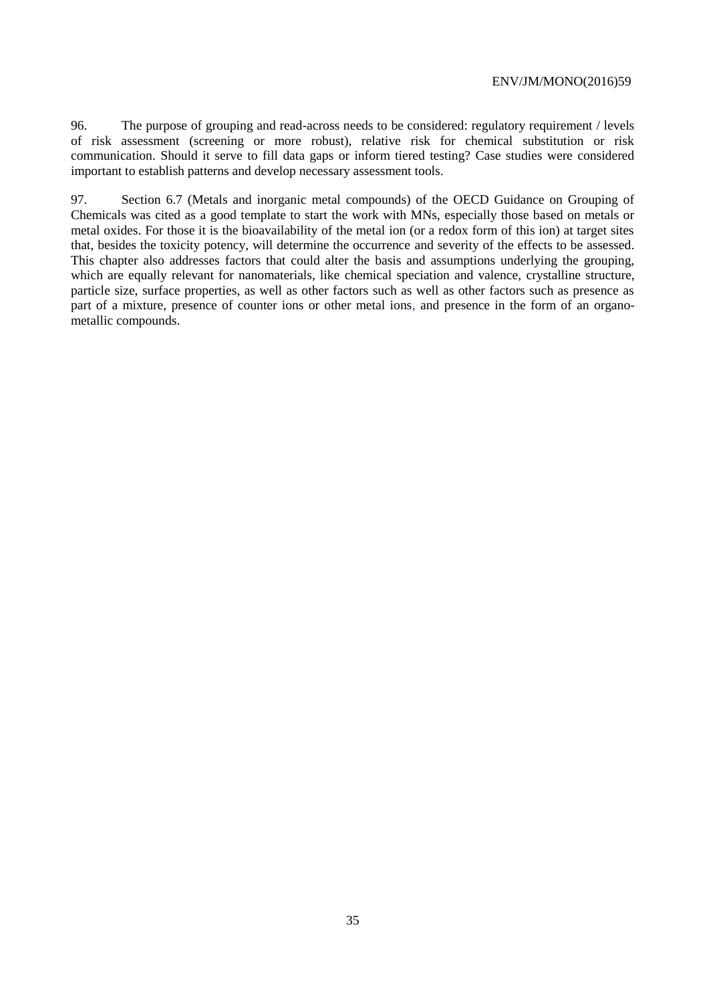96. The purpose of grouping and read-across needs to be considered: regulatory requirement / levels of risk assessment (screening or more robust), relative risk for chemical substitution or risk communication. Should it serve to fill data gaps or inform tiered testing? Case studies were considered important to establish patterns and develop necessary assessment tools.

97. Section 6.7 (Metals and inorganic metal compounds) of the OECD Guidance on Grouping of Chemicals was cited as a good template to start the work with MNs, especially those based on metals or metal oxides. For those it is the bioavailability of the metal ion (or a redox form of this ion) at target sites that, besides the toxicity potency, will determine the occurrence and severity of the effects to be assessed. This chapter also addresses factors that could alter the basis and assumptions underlying the grouping, which are equally relevant for nanomaterials, like chemical speciation and valence, crystalline structure, particle size, surface properties, as well as other factors such as well as other factors such as presence as part of a mixture, presence of counter ions or other metal ions, and presence in the form of an organometallic compounds.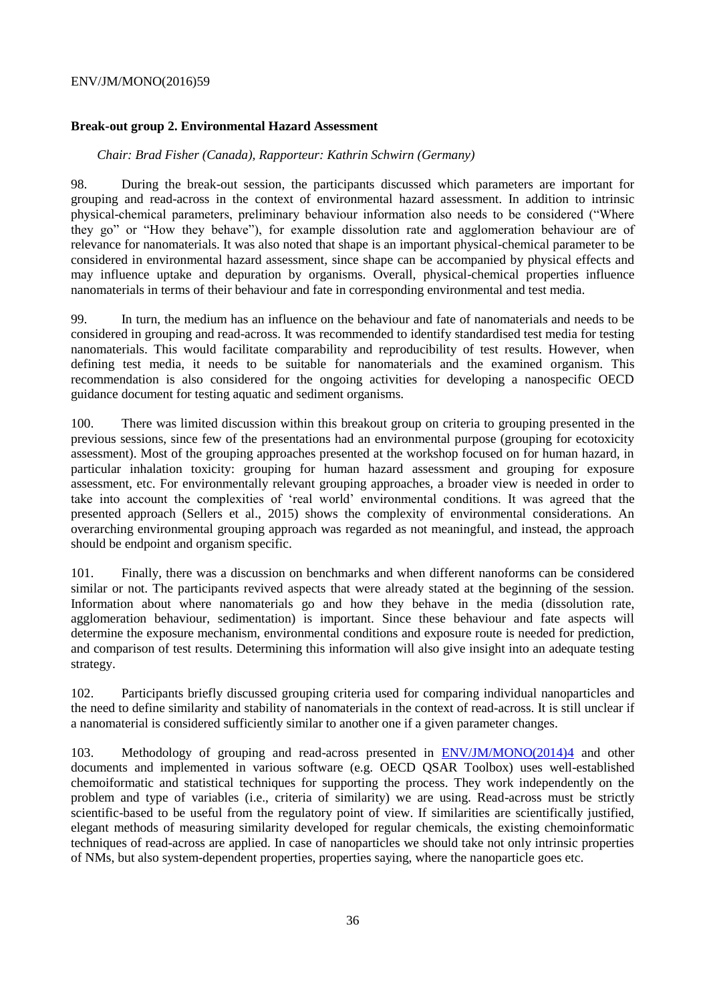# **Break-out group 2. Environmental Hazard Assessment**

# *Chair: Brad Fisher (Canada), Rapporteur: Kathrin Schwirn (Germany)*

98. During the break-out session, the participants discussed which parameters are important for grouping and read-across in the context of environmental hazard assessment. In addition to intrinsic physical-chemical parameters, preliminary behaviour information also needs to be considered ("Where they go" or "How they behave"), for example dissolution rate and agglomeration behaviour are of relevance for nanomaterials. It was also noted that shape is an important physical-chemical parameter to be considered in environmental hazard assessment, since shape can be accompanied by physical effects and may influence uptake and depuration by organisms. Overall, physical-chemical properties influence nanomaterials in terms of their behaviour and fate in corresponding environmental and test media.

99. In turn, the medium has an influence on the behaviour and fate of nanomaterials and needs to be considered in grouping and read-across. It was recommended to identify standardised test media for testing nanomaterials. This would facilitate comparability and reproducibility of test results. However, when defining test media, it needs to be suitable for nanomaterials and the examined organism. This recommendation is also considered for the ongoing activities for developing a nanospecific OECD guidance document for testing aquatic and sediment organisms.

100. There was limited discussion within this breakout group on criteria to grouping presented in the previous sessions, since few of the presentations had an environmental purpose (grouping for ecotoxicity assessment). Most of the grouping approaches presented at the workshop focused on for human hazard, in particular inhalation toxicity: grouping for human hazard assessment and grouping for exposure assessment, etc. For environmentally relevant grouping approaches, a broader view is needed in order to take into account the complexities of 'real world' environmental conditions. It was agreed that the presented approach (Sellers et al., 2015) shows the complexity of environmental considerations. An overarching environmental grouping approach was regarded as not meaningful, and instead, the approach should be endpoint and organism specific.

101. Finally, there was a discussion on benchmarks and when different nanoforms can be considered similar or not. The participants revived aspects that were already stated at the beginning of the session. Information about where nanomaterials go and how they behave in the media (dissolution rate, agglomeration behaviour, sedimentation) is important. Since these behaviour and fate aspects will determine the exposure mechanism, environmental conditions and exposure route is needed for prediction, and comparison of test results. Determining this information will also give insight into an adequate testing strategy.

102. Participants briefly discussed grouping criteria used for comparing individual nanoparticles and the need to define similarity and stability of nanomaterials in the context of read-across. It is still unclear if a nanomaterial is considered sufficiently similar to another one if a given parameter changes.

103. Methodology of grouping and read-across presented in ENV/JM/MONO(2014)4 and other documents and implemented in various software (e.g. OECD QSAR Toolbox) uses well-established chemoiformatic and statistical techniques for supporting the process. They work independently on the problem and type of variables (i.e., criteria of similarity) we are using. Read-across must be strictly scientific-based to be useful from the regulatory point of view. If similarities are scientifically justified, elegant methods of measuring similarity developed for regular chemicals, the existing chemoinformatic techniques of read-across are applied. In case of nanoparticles we should take not only intrinsic properties of NMs, but also system-dependent properties, properties saying, where the nanoparticle goes etc.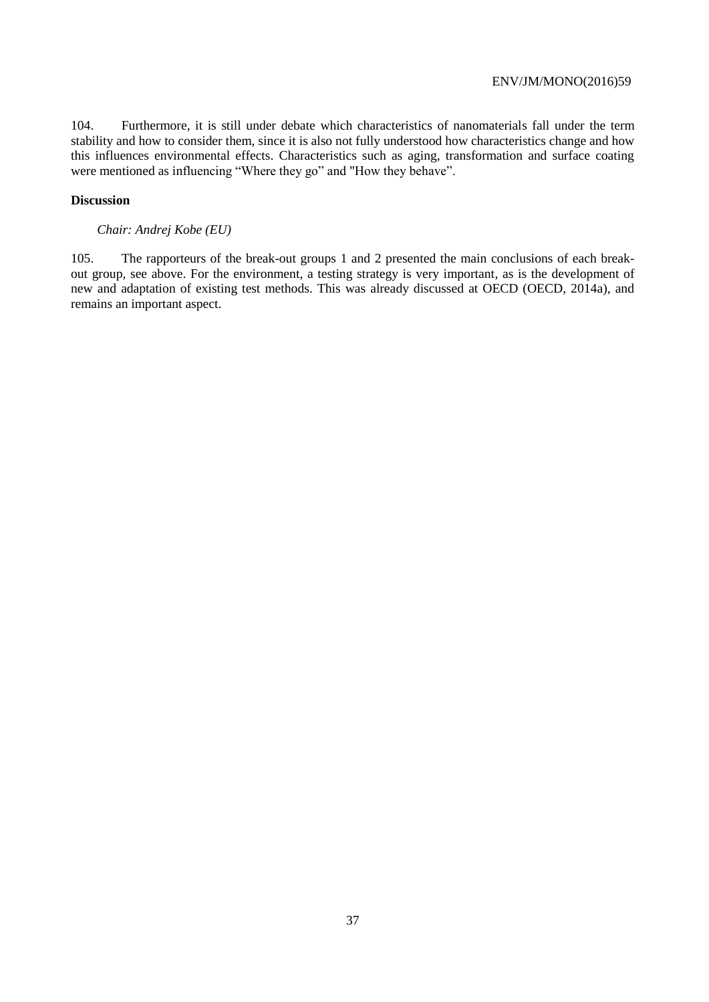104. Furthermore, it is still under debate which characteristics of nanomaterials fall under the term stability and how to consider them, since it is also not fully understood how characteristics change and how this influences environmental effects. Characteristics such as aging, transformation and surface coating were mentioned as influencing "Where they go" and "How they behave".

#### **Discussion**

#### *Chair: Andrej Kobe (EU)*

105. The rapporteurs of the break-out groups 1 and 2 presented the main conclusions of each breakout group, see above. For the environment, a testing strategy is very important, as is the development of new and adaptation of existing test methods. This was already discussed at OECD (OECD, 2014a), and remains an important aspect.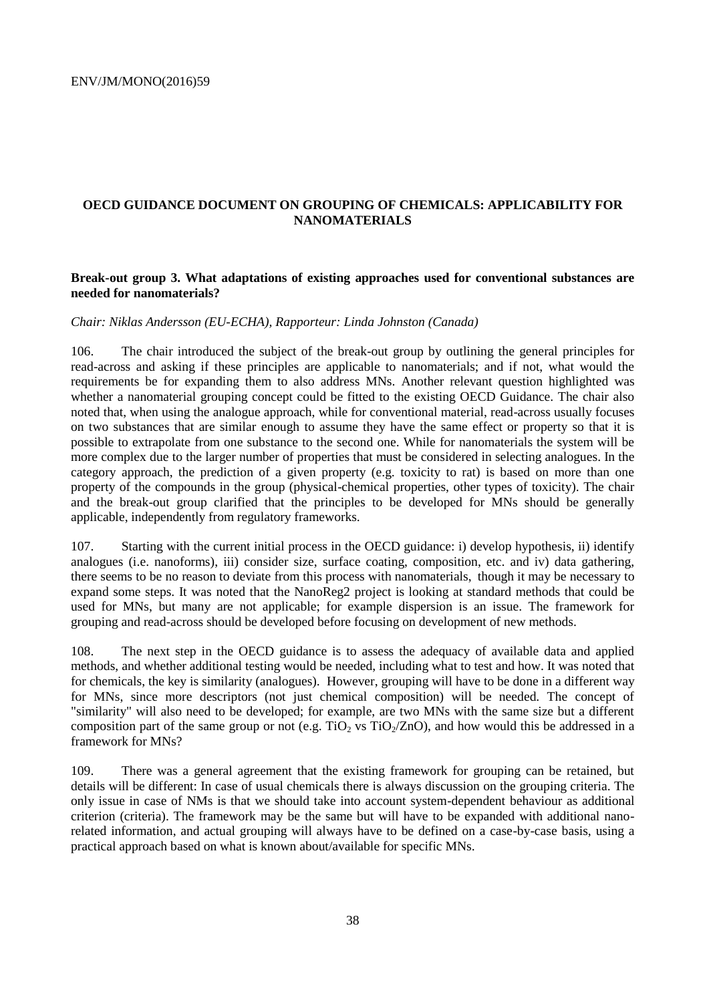# **OECD GUIDANCE DOCUMENT ON GROUPING OF CHEMICALS: APPLICABILITY FOR NANOMATERIALS**

#### **Break-out group 3. What adaptations of existing approaches used for conventional substances are needed for nanomaterials?**

*Chair: Niklas Andersson (EU-ECHA), Rapporteur: Linda Johnston (Canada)*

106. The chair introduced the subject of the break-out group by outlining the general principles for read-across and asking if these principles are applicable to nanomaterials; and if not, what would the requirements be for expanding them to also address MNs. Another relevant question highlighted was whether a nanomaterial grouping concept could be fitted to the existing OECD Guidance. The chair also noted that, when using the analogue approach, while for conventional material, read-across usually focuses on two substances that are similar enough to assume they have the same effect or property so that it is possible to extrapolate from one substance to the second one. While for nanomaterials the system will be more complex due to the larger number of properties that must be considered in selecting analogues. In the category approach, the prediction of a given property (e.g. toxicity to rat) is based on more than one property of the compounds in the group (physical-chemical properties, other types of toxicity). The chair and the break-out group clarified that the principles to be developed for MNs should be generally applicable, independently from regulatory frameworks.

107. Starting with the current initial process in the OECD guidance: i) develop hypothesis, ii) identify analogues (i.e. nanoforms), iii) consider size, surface coating, composition, etc. and iv) data gathering, there seems to be no reason to deviate from this process with nanomaterials, though it may be necessary to expand some steps. It was noted that the NanoReg2 project is looking at standard methods that could be used for MNs, but many are not applicable; for example dispersion is an issue. The framework for grouping and read-across should be developed before focusing on development of new methods.

108. The next step in the OECD guidance is to assess the adequacy of available data and applied methods, and whether additional testing would be needed, including what to test and how. It was noted that for chemicals, the key is similarity (analogues). However, grouping will have to be done in a different way for MNs, since more descriptors (not just chemical composition) will be needed. The concept of "similarity" will also need to be developed; for example, are two MNs with the same size but a different composition part of the same group or not (e.g. TiO<sub>2</sub> vs TiO<sub>2</sub>/ZnO), and how would this be addressed in a framework for MNs?

109. There was a general agreement that the existing framework for grouping can be retained, but details will be different: In case of usual chemicals there is always discussion on the grouping criteria. The only issue in case of NMs is that we should take into account system-dependent behaviour as additional criterion (criteria). The framework may be the same but will have to be expanded with additional nanorelated information, and actual grouping will always have to be defined on a case-by-case basis, using a practical approach based on what is known about/available for specific MNs.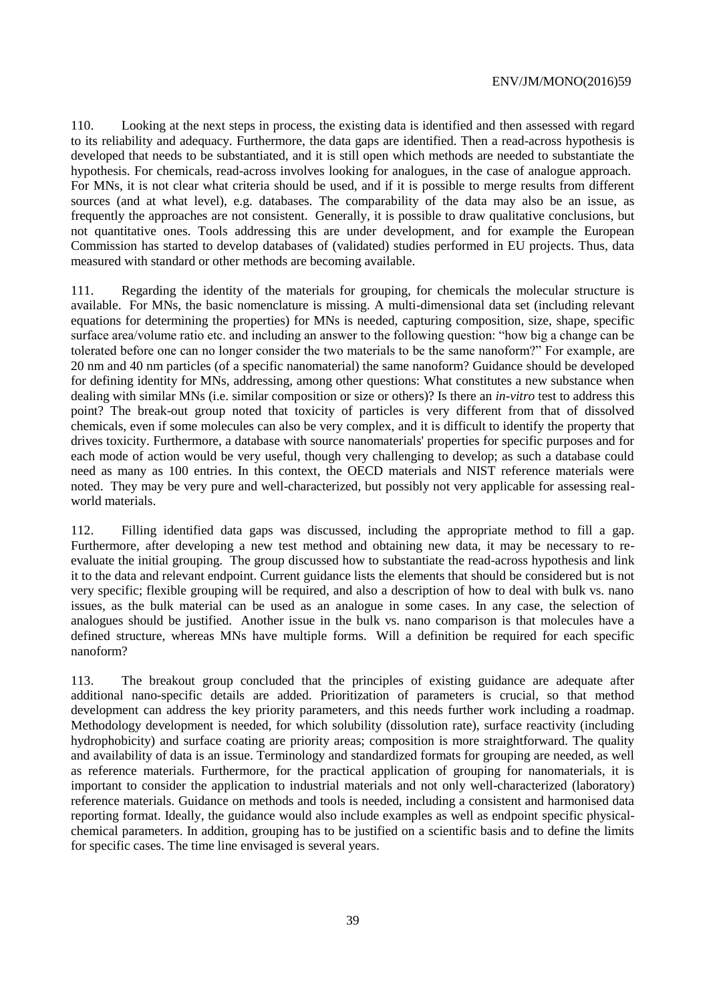110. Looking at the next steps in process, the existing data is identified and then assessed with regard to its reliability and adequacy. Furthermore, the data gaps are identified. Then a read-across hypothesis is developed that needs to be substantiated, and it is still open which methods are needed to substantiate the hypothesis. For chemicals, read-across involves looking for analogues, in the case of analogue approach. For MNs, it is not clear what criteria should be used, and if it is possible to merge results from different sources (and at what level), e.g. databases. The comparability of the data may also be an issue, as frequently the approaches are not consistent. Generally, it is possible to draw qualitative conclusions, but not quantitative ones. Tools addressing this are under development, and for example the European Commission has started to develop databases of (validated) studies performed in EU projects. Thus, data measured with standard or other methods are becoming available.

111. Regarding the identity of the materials for grouping, for chemicals the molecular structure is available. For MNs, the basic nomenclature is missing. A multi-dimensional data set (including relevant equations for determining the properties) for MNs is needed, capturing composition, size, shape, specific surface area/volume ratio etc. and including an answer to the following question: "how big a change can be tolerated before one can no longer consider the two materials to be the same nanoform?" For example, are 20 nm and 40 nm particles (of a specific nanomaterial) the same nanoform? Guidance should be developed for defining identity for MNs, addressing, among other questions: What constitutes a new substance when dealing with similar MNs (i.e. similar composition or size or others)? Is there an *in-vitro* test to address this point? The break-out group noted that toxicity of particles is very different from that of dissolved chemicals, even if some molecules can also be very complex, and it is difficult to identify the property that drives toxicity. Furthermore, a database with source nanomaterials' properties for specific purposes and for each mode of action would be very useful, though very challenging to develop; as such a database could need as many as 100 entries. In this context, the OECD materials and NIST reference materials were noted. They may be very pure and well-characterized, but possibly not very applicable for assessing realworld materials.

112. Filling identified data gaps was discussed, including the appropriate method to fill a gap. Furthermore, after developing a new test method and obtaining new data, it may be necessary to reevaluate the initial grouping. The group discussed how to substantiate the read-across hypothesis and link it to the data and relevant endpoint. Current guidance lists the elements that should be considered but is not very specific; flexible grouping will be required, and also a description of how to deal with bulk vs. nano issues, as the bulk material can be used as an analogue in some cases. In any case, the selection of analogues should be justified. Another issue in the bulk vs. nano comparison is that molecules have a defined structure, whereas MNs have multiple forms. Will a definition be required for each specific nanoform?

113. The breakout group concluded that the principles of existing guidance are adequate after additional nano-specific details are added. Prioritization of parameters is crucial, so that method development can address the key priority parameters, and this needs further work including a roadmap. Methodology development is needed, for which solubility (dissolution rate), surface reactivity (including hydrophobicity) and surface coating are priority areas; composition is more straightforward. The quality and availability of data is an issue. Terminology and standardized formats for grouping are needed, as well as reference materials. Furthermore, for the practical application of grouping for nanomaterials, it is important to consider the application to industrial materials and not only well-characterized (laboratory) reference materials. Guidance on methods and tools is needed, including a consistent and harmonised data reporting format. Ideally, the guidance would also include examples as well as endpoint specific physicalchemical parameters. In addition, grouping has to be justified on a scientific basis and to define the limits for specific cases. The time line envisaged is several years.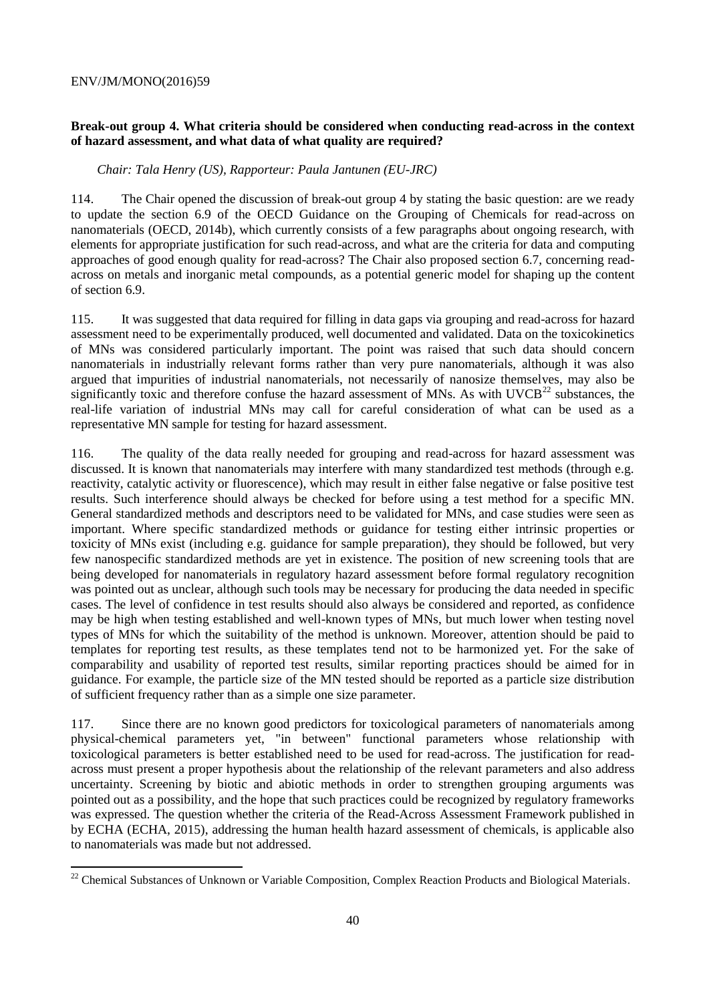$\overline{a}$ 

# **Break-out group 4. What criteria should be considered when conducting read-across in the context of hazard assessment, and what data of what quality are required?**

# *Chair: Tala Henry (US), Rapporteur: Paula Jantunen (EU-JRC)*

114. The Chair opened the discussion of break-out group 4 by stating the basic question: are we ready to update the section 6.9 of the OECD Guidance on the Grouping of Chemicals for read-across on nanomaterials (OECD, 2014b), which currently consists of a few paragraphs about ongoing research, with elements for appropriate justification for such read-across, and what are the criteria for data and computing approaches of good enough quality for read-across? The Chair also proposed section 6.7, concerning readacross on metals and inorganic metal compounds, as a potential generic model for shaping up the content of section 6.9.

115. It was suggested that data required for filling in data gaps via grouping and read-across for hazard assessment need to be experimentally produced, well documented and validated. Data on the toxicokinetics of MNs was considered particularly important. The point was raised that such data should concern nanomaterials in industrially relevant forms rather than very pure nanomaterials, although it was also argued that impurities of industrial nanomaterials, not necessarily of nanosize themselves, may also be significantly toxic and therefore confuse the hazard assessment of MNs. As with  $UVCB^{22}$  substances, the real-life variation of industrial MNs may call for careful consideration of what can be used as a representative MN sample for testing for hazard assessment.

116. The quality of the data really needed for grouping and read-across for hazard assessment was discussed. It is known that nanomaterials may interfere with many standardized test methods (through e.g. reactivity, catalytic activity or fluorescence), which may result in either false negative or false positive test results. Such interference should always be checked for before using a test method for a specific MN. General standardized methods and descriptors need to be validated for MNs, and case studies were seen as important. Where specific standardized methods or guidance for testing either intrinsic properties or toxicity of MNs exist (including e.g. guidance for sample preparation), they should be followed, but very few nanospecific standardized methods are yet in existence. The position of new screening tools that are being developed for nanomaterials in regulatory hazard assessment before formal regulatory recognition was pointed out as unclear, although such tools may be necessary for producing the data needed in specific cases. The level of confidence in test results should also always be considered and reported, as confidence may be high when testing established and well-known types of MNs, but much lower when testing novel types of MNs for which the suitability of the method is unknown. Moreover, attention should be paid to templates for reporting test results, as these templates tend not to be harmonized yet. For the sake of comparability and usability of reported test results, similar reporting practices should be aimed for in guidance. For example, the particle size of the MN tested should be reported as a particle size distribution of sufficient frequency rather than as a simple one size parameter.

117. Since there are no known good predictors for toxicological parameters of nanomaterials among physical-chemical parameters yet, "in between" functional parameters whose relationship with toxicological parameters is better established need to be used for read-across. The justification for readacross must present a proper hypothesis about the relationship of the relevant parameters and also address uncertainty. Screening by biotic and abiotic methods in order to strengthen grouping arguments was pointed out as a possibility, and the hope that such practices could be recognized by regulatory frameworks was expressed. The question whether the criteria of the Read-Across Assessment Framework published in by ECHA (ECHA, 2015), addressing the human health hazard assessment of chemicals, is applicable also to nanomaterials was made but not addressed.

<sup>&</sup>lt;sup>22</sup> Chemical Substances of Unknown or Variable Composition, Complex Reaction Products and Biological Materials.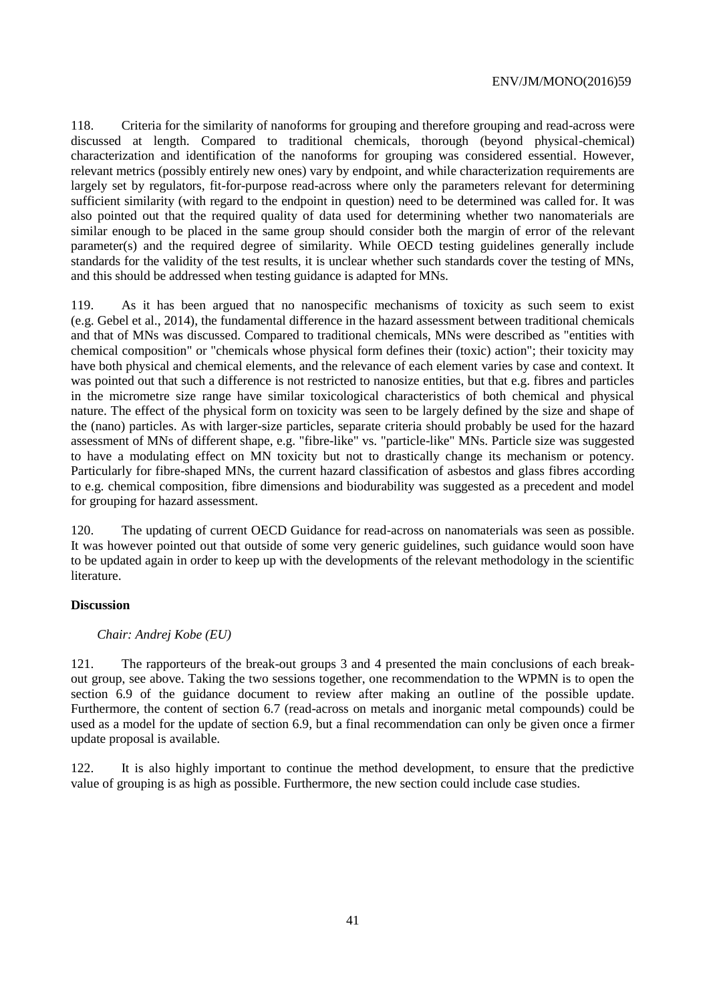118. Criteria for the similarity of nanoforms for grouping and therefore grouping and read-across were discussed at length. Compared to traditional chemicals, thorough (beyond physical-chemical) characterization and identification of the nanoforms for grouping was considered essential. However, relevant metrics (possibly entirely new ones) vary by endpoint, and while characterization requirements are largely set by regulators, fit-for-purpose read-across where only the parameters relevant for determining sufficient similarity (with regard to the endpoint in question) need to be determined was called for. It was also pointed out that the required quality of data used for determining whether two nanomaterials are similar enough to be placed in the same group should consider both the margin of error of the relevant parameter(s) and the required degree of similarity. While OECD testing guidelines generally include standards for the validity of the test results, it is unclear whether such standards cover the testing of MNs, and this should be addressed when testing guidance is adapted for MNs.

119. As it has been argued that no nanospecific mechanisms of toxicity as such seem to exist (e.g. Gebel et al., 2014), the fundamental difference in the hazard assessment between traditional chemicals and that of MNs was discussed. Compared to traditional chemicals, MNs were described as "entities with chemical composition" or "chemicals whose physical form defines their (toxic) action"; their toxicity may have both physical and chemical elements, and the relevance of each element varies by case and context. It was pointed out that such a difference is not restricted to nanosize entities, but that e.g. fibres and particles in the micrometre size range have similar toxicological characteristics of both chemical and physical nature. The effect of the physical form on toxicity was seen to be largely defined by the size and shape of the (nano) particles. As with larger-size particles, separate criteria should probably be used for the hazard assessment of MNs of different shape, e.g. "fibre-like" vs. "particle-like" MNs. Particle size was suggested to have a modulating effect on MN toxicity but not to drastically change its mechanism or potency. Particularly for fibre-shaped MNs, the current hazard classification of asbestos and glass fibres according to e.g. chemical composition, fibre dimensions and biodurability was suggested as a precedent and model for grouping for hazard assessment.

120. The updating of current OECD Guidance for read-across on nanomaterials was seen as possible. It was however pointed out that outside of some very generic guidelines, such guidance would soon have to be updated again in order to keep up with the developments of the relevant methodology in the scientific literature.

#### **Discussion**

# *Chair: Andrej Kobe (EU)*

121. The rapporteurs of the break-out groups 3 and 4 presented the main conclusions of each breakout group, see above. Taking the two sessions together, one recommendation to the WPMN is to open the section 6.9 of the guidance document to review after making an outline of the possible update. Furthermore, the content of section 6.7 (read-across on metals and inorganic metal compounds) could be used as a model for the update of section 6.9, but a final recommendation can only be given once a firmer update proposal is available.

122. It is also highly important to continue the method development, to ensure that the predictive value of grouping is as high as possible. Furthermore, the new section could include case studies.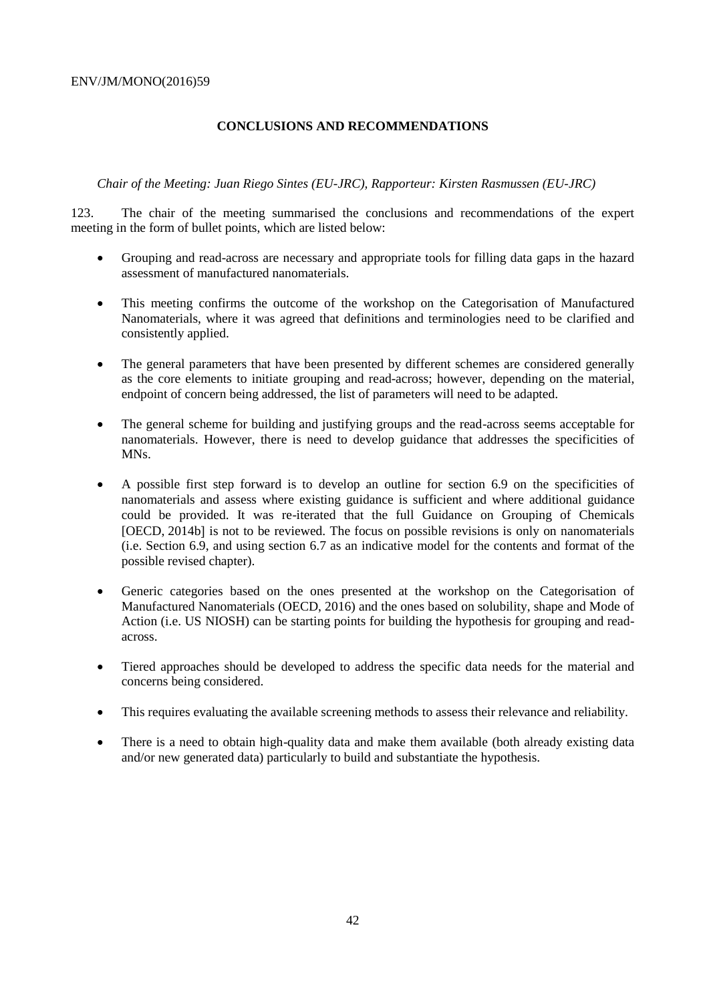# **CONCLUSIONS AND RECOMMENDATIONS**

# *Chair of the Meeting: Juan Riego Sintes (EU-JRC), Rapporteur: Kirsten Rasmussen (EU-JRC)*

123. The chair of the meeting summarised the conclusions and recommendations of the expert meeting in the form of bullet points, which are listed below:

- Grouping and read-across are necessary and appropriate tools for filling data gaps in the hazard assessment of manufactured nanomaterials.
- This meeting confirms the outcome of the workshop on the Categorisation of Manufactured Nanomaterials, where it was agreed that definitions and terminologies need to be clarified and consistently applied.
- The general parameters that have been presented by different schemes are considered generally as the core elements to initiate grouping and read-across; however, depending on the material, endpoint of concern being addressed, the list of parameters will need to be adapted.
- The general scheme for building and justifying groups and the read-across seems acceptable for nanomaterials. However, there is need to develop guidance that addresses the specificities of MNs.
- A possible first step forward is to develop an outline for section 6.9 on the specificities of nanomaterials and assess where existing guidance is sufficient and where additional guidance could be provided. It was re-iterated that the full Guidance on Grouping of Chemicals [OECD, 2014b] is not to be reviewed. The focus on possible revisions is only on nanomaterials (i.e. Section 6.9, and using section 6.7 as an indicative model for the contents and format of the possible revised chapter).
- Generic categories based on the ones presented at the workshop on the Categorisation of Manufactured Nanomaterials (OECD, 2016) and the ones based on solubility, shape and Mode of Action (i.e. US NIOSH) can be starting points for building the hypothesis for grouping and readacross.
- Tiered approaches should be developed to address the specific data needs for the material and concerns being considered.
- This requires evaluating the available screening methods to assess their relevance and reliability.
- There is a need to obtain high-quality data and make them available (both already existing data and/or new generated data) particularly to build and substantiate the hypothesis.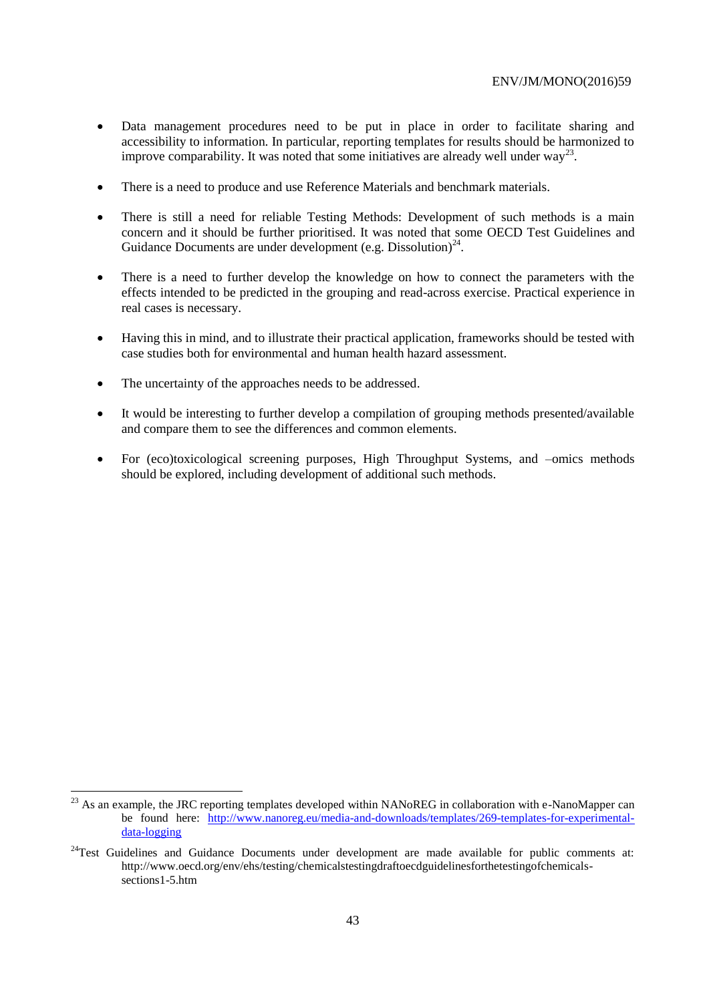- Data management procedures need to be put in place in order to facilitate sharing and accessibility to information. In particular, reporting templates for results should be harmonized to improve comparability. It was noted that some initiatives are already well under way<sup>23</sup>.
- There is a need to produce and use Reference Materials and benchmark materials.
- There is still a need for reliable Testing Methods: Development of such methods is a main concern and it should be further prioritised. It was noted that some OECD Test Guidelines and Guidance Documents are under development (e.g. Dissolution) $^{24}$ .
- There is a need to further develop the knowledge on how to connect the parameters with the effects intended to be predicted in the grouping and read-across exercise. Practical experience in real cases is necessary.
- Having this in mind, and to illustrate their practical application, frameworks should be tested with case studies both for environmental and human health hazard assessment.
- The uncertainty of the approaches needs to be addressed.

l

- It would be interesting to further develop a compilation of grouping methods presented/available and compare them to see the differences and common elements.
- For (eco)toxicological screening purposes, High Throughput Systems, and –omics methods should be explored, including development of additional such methods.

 $^{23}$  As an example, the JRC reporting templates developed within NANoREG in collaboration with e-NanoMapper can be found here: [http://www.nanoreg.eu/media-and-downloads/templates/269-templates-for-experimental](http://www.nanoreg.eu/media-and-downloads/templates/269-templates-for-experimental-data-logging)[data-logging](http://www.nanoreg.eu/media-and-downloads/templates/269-templates-for-experimental-data-logging)

 $24$ Test Guidelines and Guidance Documents under development are made available for public comments at: http://www.oecd.org/env/ehs/testing/chemicalstestingdraftoecdguidelinesforthetestingofchemicalssections1-5.htm